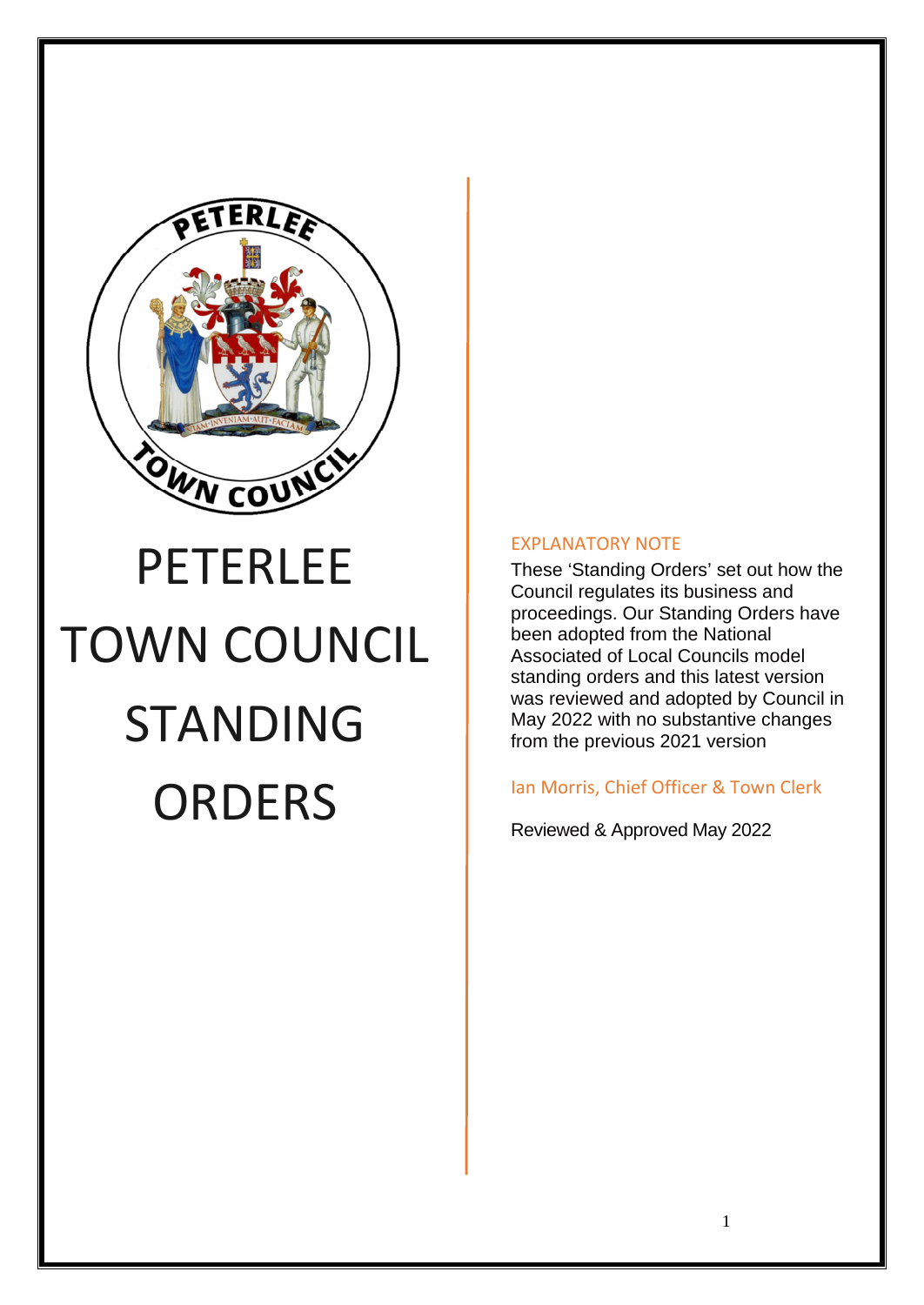

# PETERLEE TOWN COUNCIL STANDING **ORDERS**

#### EXPLANATORY NOTE

These 'Standing Orders' set out how the Council regulates its business and proceedings. Our Standing Orders have been adopted from the National Associated of Local Councils model standing orders and this latest version was reviewed and adopted by Council in May 2022 with no substantive changes from the previous 2021 version

#### Ian Morris, Chief Officer & Town Clerk

Reviewed & Approved May 2022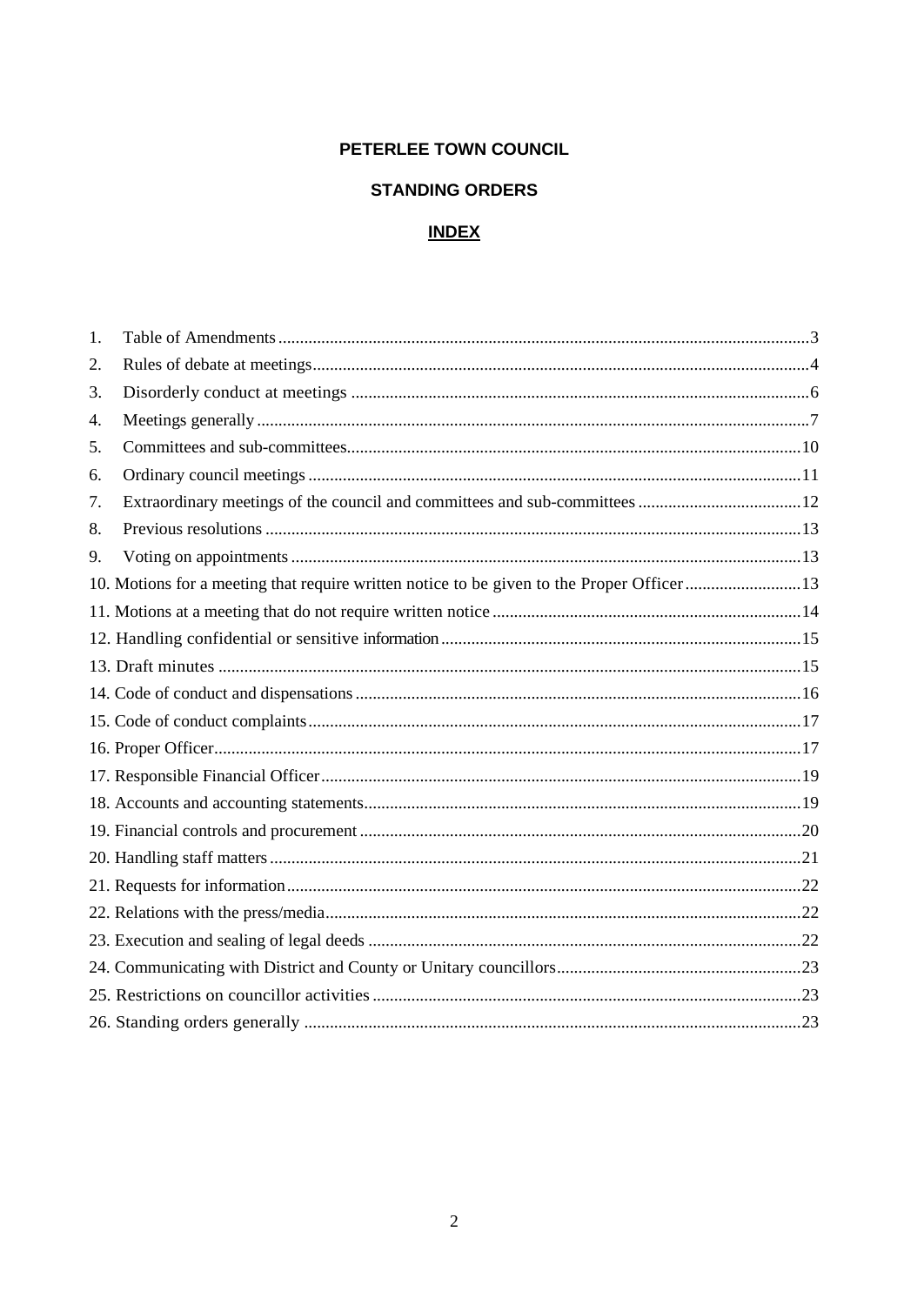#### PETERLEE TOWN COUNCIL

#### **STANDING ORDERS**

# <u>INDEX</u>

| 1. |                                                                                            |  |
|----|--------------------------------------------------------------------------------------------|--|
| 2. |                                                                                            |  |
| 3. |                                                                                            |  |
| 4. |                                                                                            |  |
| 5. |                                                                                            |  |
| 6. |                                                                                            |  |
| 7. |                                                                                            |  |
| 8. |                                                                                            |  |
| 9. |                                                                                            |  |
|    | 10. Motions for a meeting that require written notice to be given to the Proper Officer 13 |  |
|    |                                                                                            |  |
|    |                                                                                            |  |
|    |                                                                                            |  |
|    |                                                                                            |  |
|    |                                                                                            |  |
|    |                                                                                            |  |
|    |                                                                                            |  |
|    |                                                                                            |  |
|    |                                                                                            |  |
|    |                                                                                            |  |
|    |                                                                                            |  |
|    |                                                                                            |  |
|    |                                                                                            |  |
|    |                                                                                            |  |
|    |                                                                                            |  |
|    |                                                                                            |  |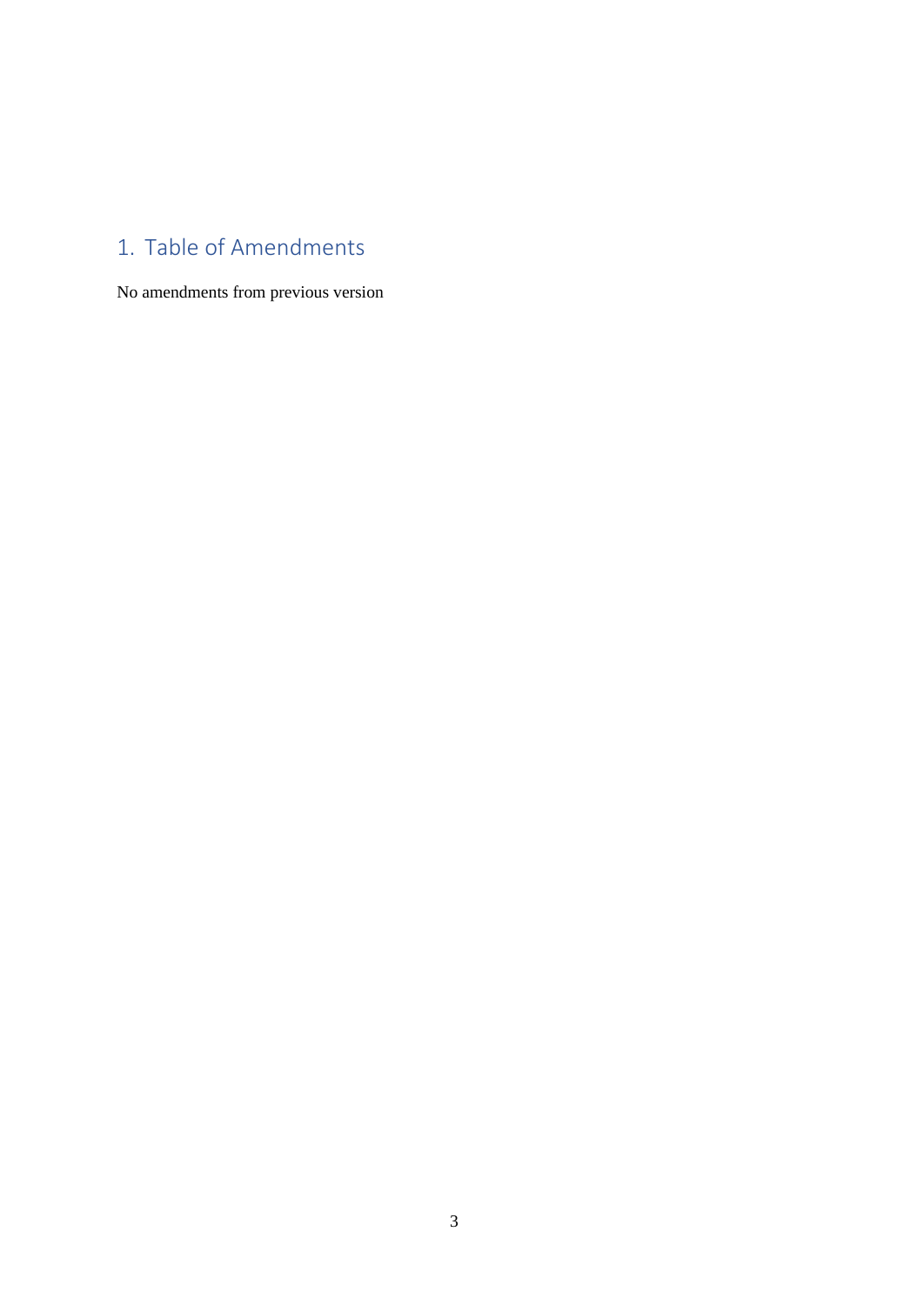# <span id="page-2-0"></span>1. Table of Amendments

No amendments from previous version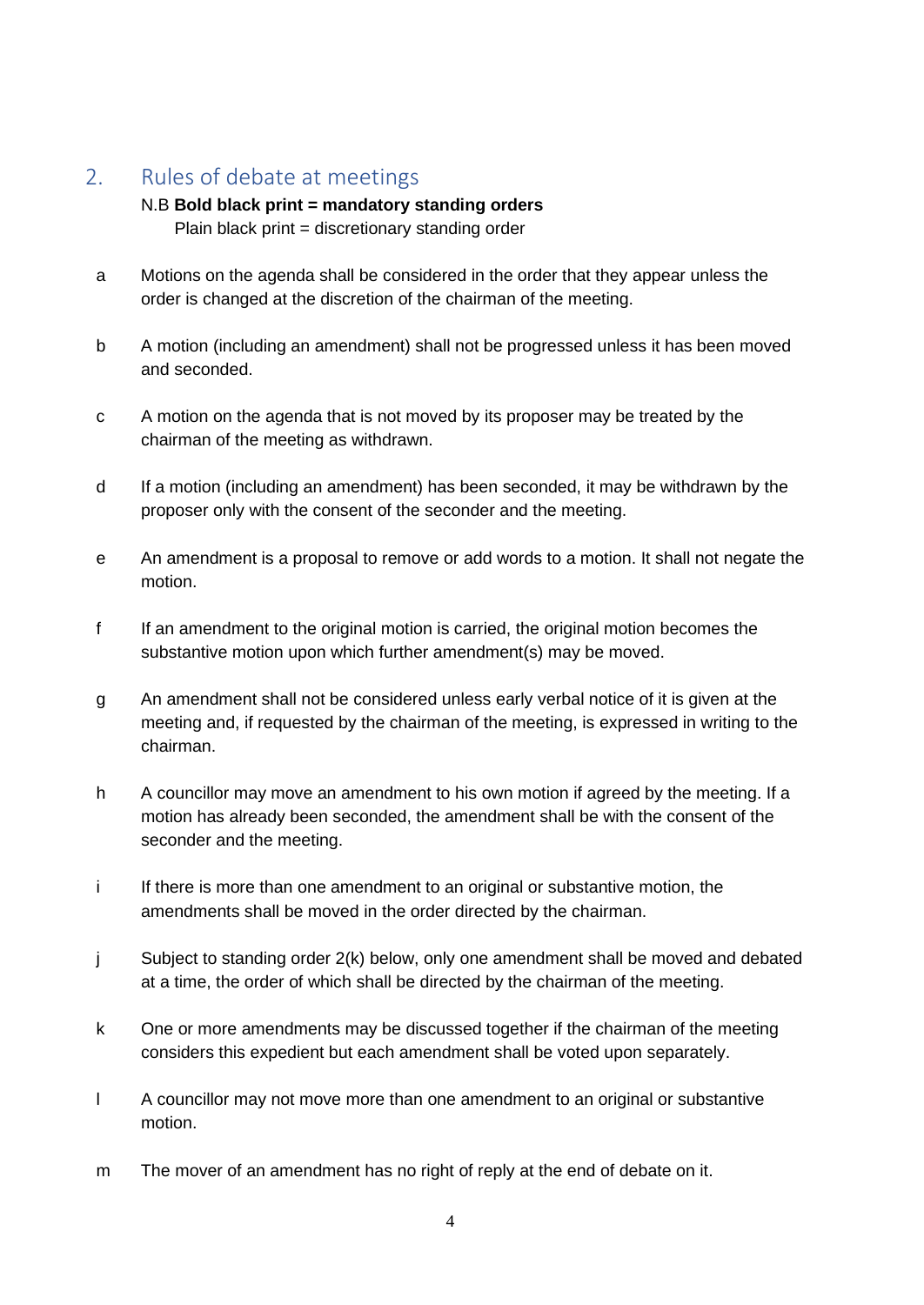## <span id="page-3-0"></span>2. Rules of debate at meetings

#### N.B **Bold black print = mandatory standing orders**

Plain black print = discretionary standing order

- a Motions on the agenda shall be considered in the order that they appear unless the order is changed at the discretion of the chairman of the meeting.
- b A motion (including an amendment) shall not be progressed unless it has been moved and seconded.
- c A motion on the agenda that is not moved by its proposer may be treated by the chairman of the meeting as withdrawn.
- d If a motion (including an amendment) has been seconded, it may be withdrawn by the proposer only with the consent of the seconder and the meeting.
- e An amendment is a proposal to remove or add words to a motion. It shall not negate the motion.
- f If an amendment to the original motion is carried, the original motion becomes the substantive motion upon which further amendment(s) may be moved.
- g An amendment shall not be considered unless early verbal notice of it is given at the meeting and, if requested by the chairman of the meeting, is expressed in writing to the chairman.
- h A councillor may move an amendment to his own motion if agreed by the meeting. If a motion has already been seconded, the amendment shall be with the consent of the seconder and the meeting.
- i If there is more than one amendment to an original or substantive motion, the amendments shall be moved in the order directed by the chairman.
- j Subject to standing order 2(k) below, only one amendment shall be moved and debated at a time, the order of which shall be directed by the chairman of the meeting.
- k One or more amendments may be discussed together if the chairman of the meeting considers this expedient but each amendment shall be voted upon separately.
- l A councillor may not move more than one amendment to an original or substantive motion.
- m The mover of an amendment has no right of reply at the end of debate on it.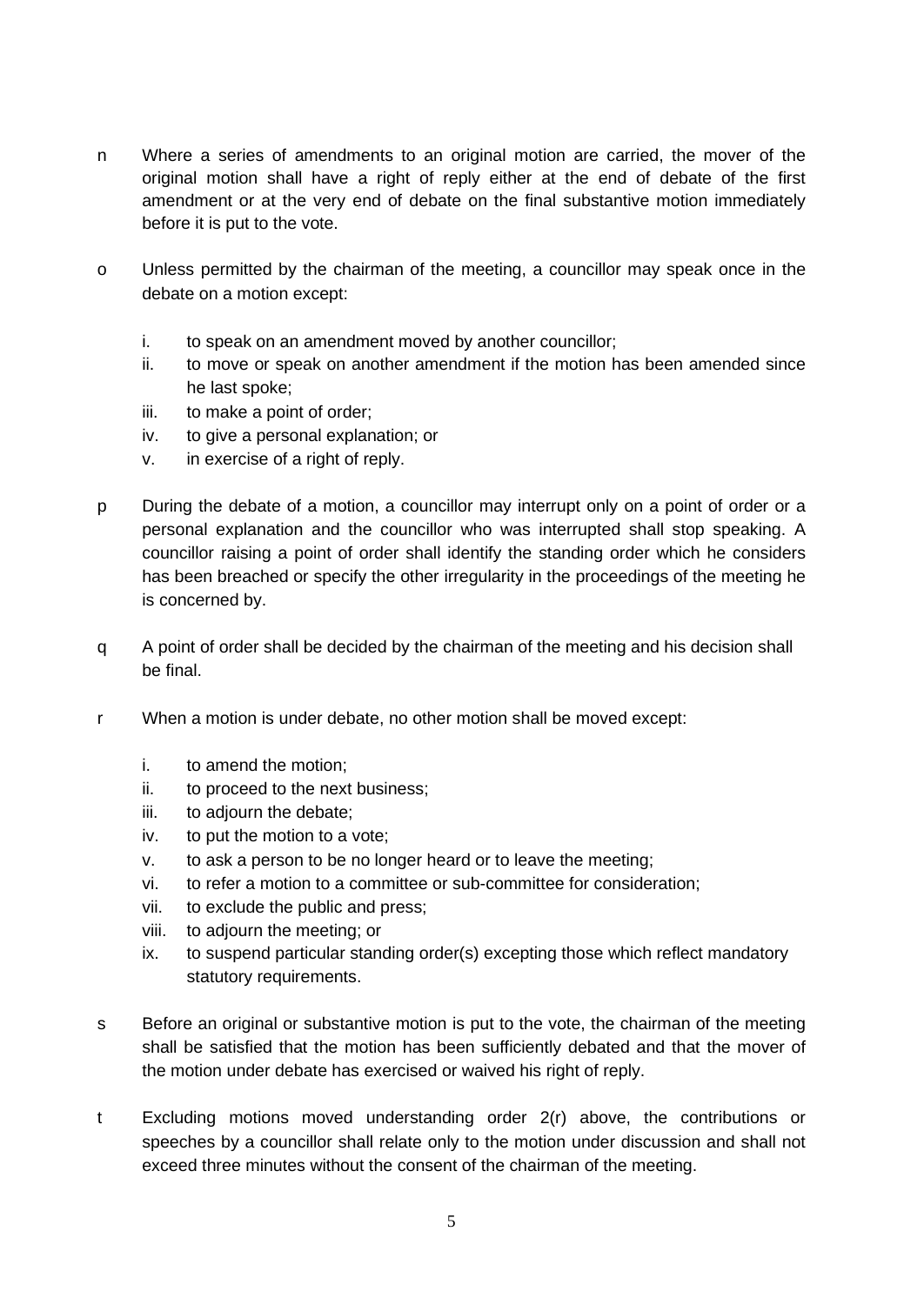- n Where a series of amendments to an original motion are carried, the mover of the original motion shall have a right of reply either at the end of debate of the first amendment or at the very end of debate on the final substantive motion immediately before it is put to the vote.
- o Unless permitted by the chairman of the meeting, a councillor may speak once in the debate on a motion except:
	- i. to speak on an amendment moved by another councillor;
	- ii. to move or speak on another amendment if the motion has been amended since he last spoke;
	- iii. to make a point of order;
	- iv. to give a personal explanation; or
	- v. in exercise of a right of reply.
- p During the debate of a motion, a councillor may interrupt only on a point of order or a personal explanation and the councillor who was interrupted shall stop speaking. A councillor raising a point of order shall identify the standing order which he considers has been breached or specify the other irregularity in the proceedings of the meeting he is concerned by.
- q A point of order shall be decided by the chairman of the meeting and his decision shall be final.
- r When a motion is under debate, no other motion shall be moved except:
	- i. to amend the motion;
	- ii. to proceed to the next business;
	- iii. to adjourn the debate;
	- iv. to put the motion to a vote;
	- v. to ask a person to be no longer heard or to leave the meeting;
	- vi. to refer a motion to a committee or sub-committee for consideration;
	- vii. to exclude the public and press;
	- viii. to adjourn the meeting; or
	- ix. to suspend particular standing order(s) excepting those which reflect mandatory statutory requirements.
- s Before an original or substantive motion is put to the vote, the chairman of the meeting shall be satisfied that the motion has been sufficiently debated and that the mover of the motion under debate has exercised or waived his right of reply.
- t Excluding motions moved understanding order 2(r) above, the contributions or speeches by a councillor shall relate only to the motion under discussion and shall not exceed three minutes without the consent of the chairman of the meeting.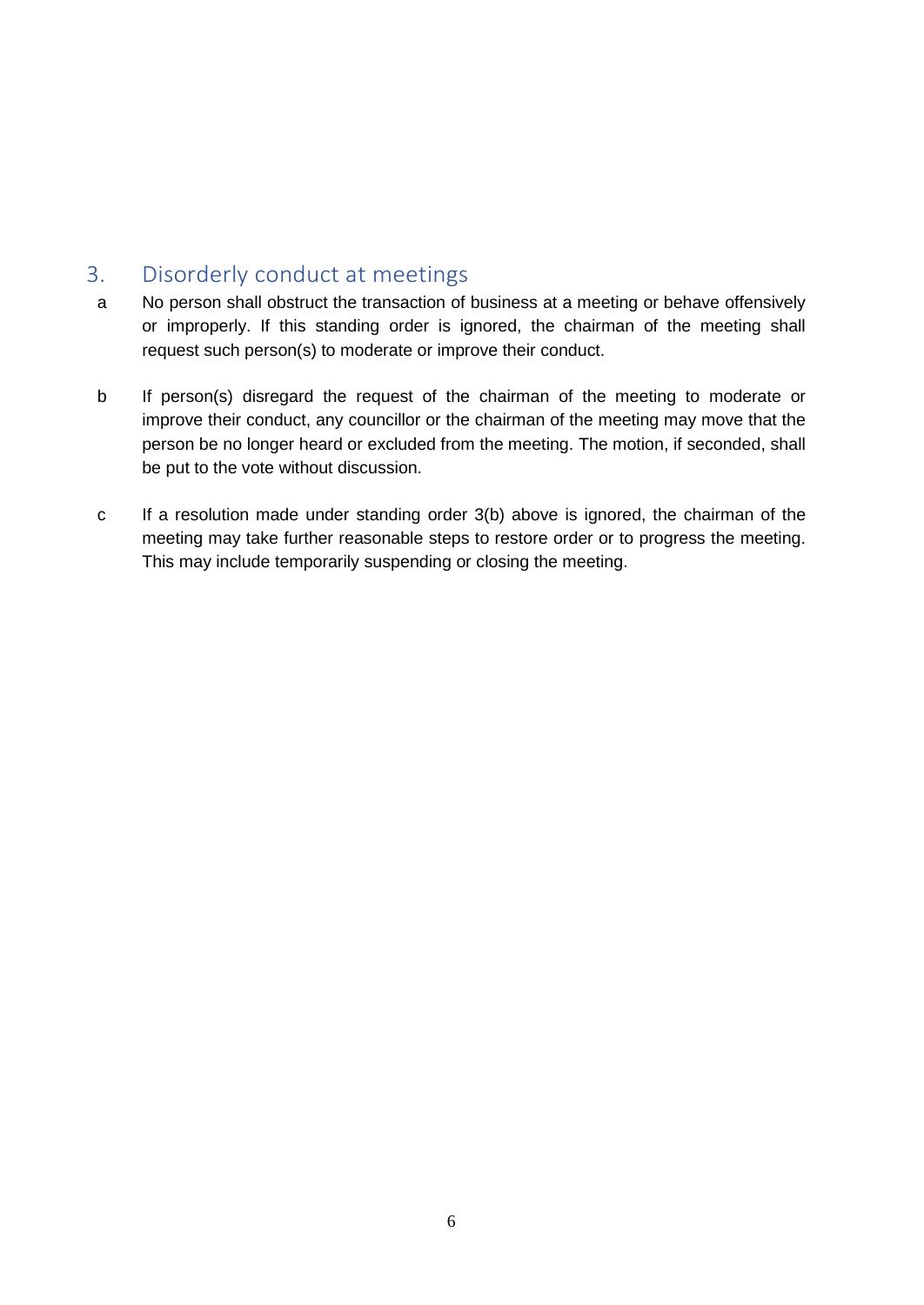## <span id="page-5-0"></span>3. Disorderly conduct at meetings

- a No person shall obstruct the transaction of business at a meeting or behave offensively or improperly. If this standing order is ignored, the chairman of the meeting shall request such person(s) to moderate or improve their conduct.
- b If person(s) disregard the request of the chairman of the meeting to moderate or improve their conduct, any councillor or the chairman of the meeting may move that the person be no longer heard or excluded from the meeting. The motion, if seconded, shall be put to the vote without discussion.
- c If a resolution made under standing order 3(b) above is ignored, the chairman of the meeting may take further reasonable steps to restore order or to progress the meeting. This may include temporarily suspending or closing the meeting.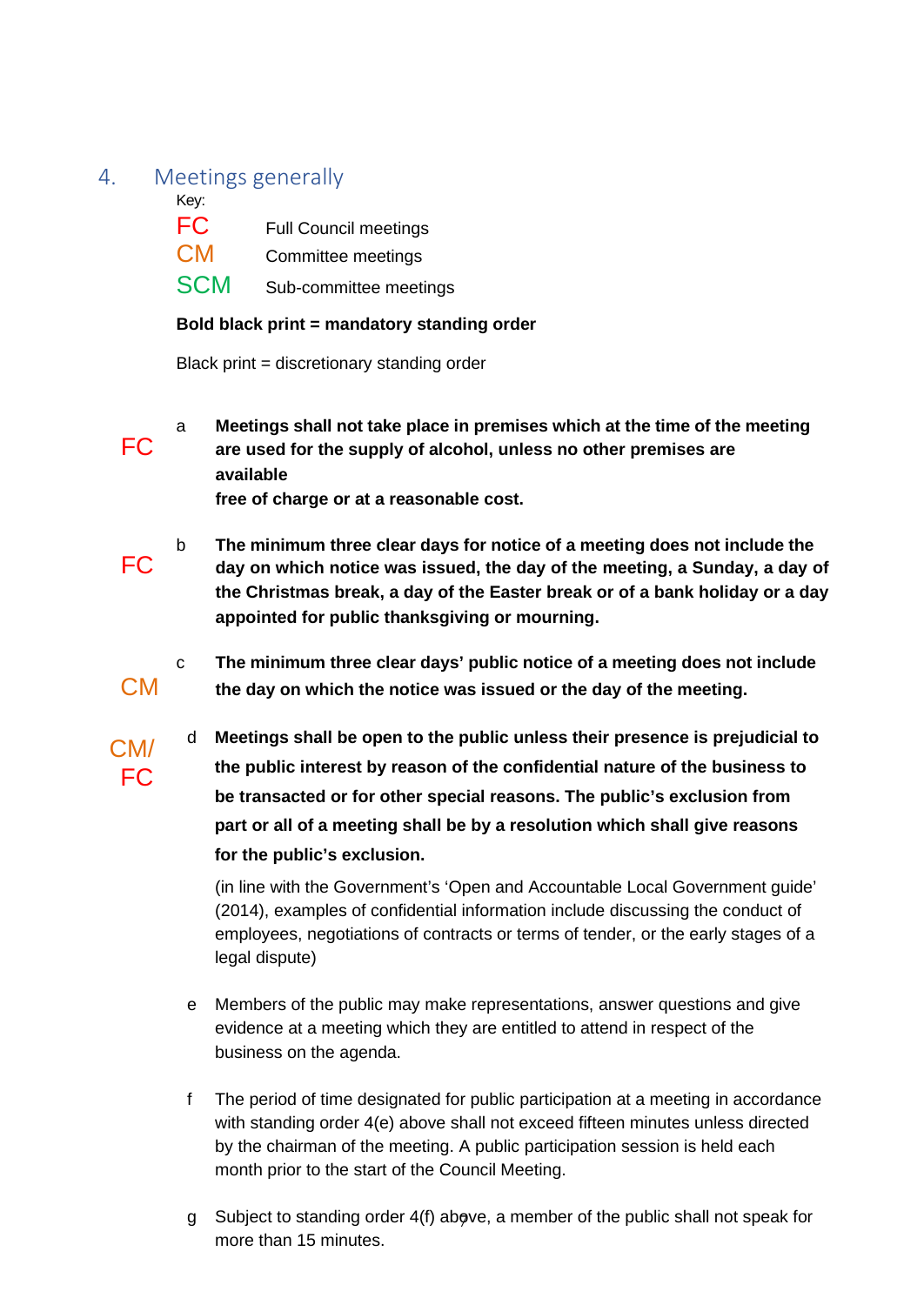#### <span id="page-6-0"></span>4. Meetings generally

Key:

 $CM/$ FC

- FC Full Council meetings CM Committee meetings
- SCM Sub-committee meetings

#### **Bold black print = mandatory standing order**

Black print = discretionary standing order

a **Meetings shall not take place in premises which at the time of the meeting** FC **are used for the supply of alcohol, unless no other premises are available** 

**free of charge or at a reasonable cost.**

- b **The minimum three clear days for notice of a meeting does not include the** FC **day on which notice was issued, the day of the meeting, a Sunday, a day of the Christmas break, a day of the Easter break or of a bank holiday or a day appointed for public thanksgiving or mourning.**
- c **The minimum three clear days' public notice of a meeting does not include** CM **the day on which the notice was issued or the day of the meeting.** 
	- d **Meetings shall be open to the public unless their presence is prejudicial to the public interest by reason of the confidential nature of the business to be transacted or for other special reasons. The public's exclusion from part or all of a meeting shall be by a resolution which shall give reasons for the public's exclusion.**

(in line with the Government's 'Open and Accountable Local Government guide' (2014), examples of confidential information include discussing the conduct of employees, negotiations of contracts or terms of tender, or the early stages of a legal dispute)

- e Members of the public may make representations, answer questions and give evidence at a meeting which they are entitled to attend in respect of the business on the agenda.
- f The period of time designated for public participation at a meeting in accordance with standing order 4(e) above shall not exceed fifteen minutes unless directed by the chairman of the meeting. A public participation session is held each month prior to the start of the Council Meeting.
- g Subject to standing order 4(f) above, a member of the public shall not speak for more than 15 minutes.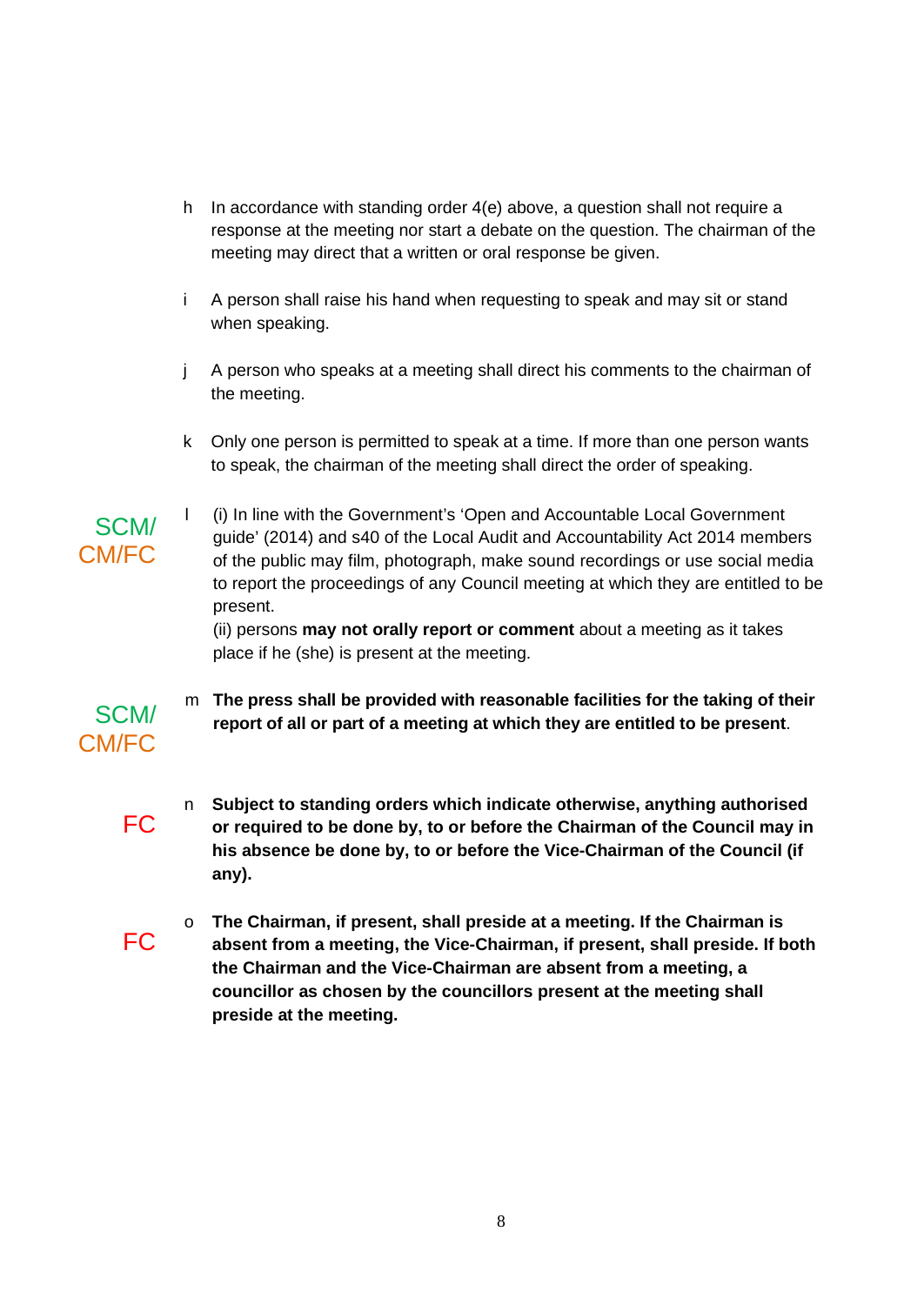- h In accordance with standing order 4(e) above, a question shall not require a response at the meeting nor start a debate on the question. The chairman of the meeting may direct that a written or oral response be given.
- i A person shall raise his hand when requesting to speak and may sit or stand when speaking.
- j A person who speaks at a meeting shall direct his comments to the chairman of the meeting.
- k Only one person is permitted to speak at a time. If more than one person wants to speak, the chairman of the meeting shall direct the order of speaking.
- l (i) In line with the Government's 'Open and Accountable Local Government guide' (2014) and s40 of the Local Audit and Accountability Act 2014 members of the public may film, photograph, make sound recordings or use social media to report the proceedings of any Council meeting at which they are entitled to be present.

(ii) persons **may not orally report or comment** about a meeting as it takes place if he (she) is present at the meeting.

- m **The press shall be provided with reasonable facilities for the taking of their report of all or part of a meeting at which they are entitled to be present**.
- n **Subject to standing orders which indicate otherwise, anything authorised** FC **or required to be done by, to or before the Chairman of the Council may in his absence be done by, to or before the Vice-Chairman of the Council (if any).**
- o **The Chairman, if present, shall preside at a meeting. If the Chairman is** FC **absent from a meeting, the Vice-Chairman, if present, shall preside. If both the Chairman and the Vice-Chairman are absent from a meeting, a councillor as chosen by the councillors present at the meeting shall preside at the meeting.**

SCM/ CM/FC

SCM/

CM/FC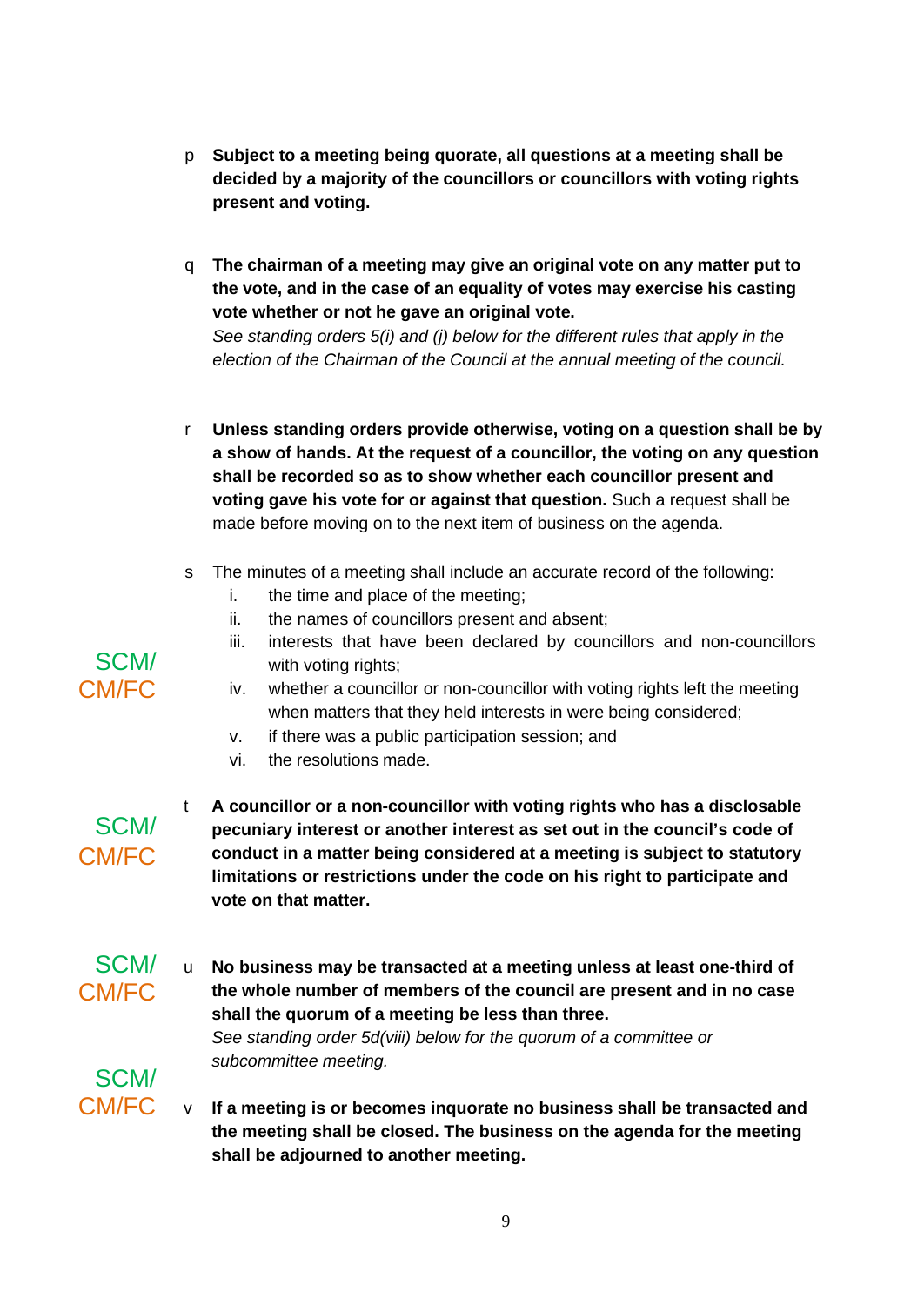- p **Subject to a meeting being quorate, all questions at a meeting shall be decided by a majority of the councillors or councillors with voting rights present and voting.**
- q **The chairman of a meeting may give an original vote on any matter put to the vote, and in the case of an equality of votes may exercise his casting vote whether or not he gave an original vote.**

*See standing orders 5(i) and (j) below for the different rules that apply in the election of the Chairman of the Council at the annual meeting of the council.* 

- r **Unless standing orders provide otherwise, voting on a question shall be by a show of hands. At the request of a councillor, the voting on any question shall be recorded so as to show whether each councillor present and voting gave his vote for or against that question.** Such a request shall be made before moving on to the next item of business on the agenda.
- s The minutes of a meeting shall include an accurate record of the following:
	- i. the time and place of the meeting;
	- ii. the names of councillors present and absent;
	- iii. interests that have been declared by councillors and non-councillors with voting rights;
	- iv. whether a councillor or non-councillor with voting rights left the meeting when matters that they held interests in were being considered;
	- v. if there was a public participation session; and
	- vi. the resolutions made.
- SCM/ CM/FC

SCM/

- t **A councillor or a non-councillor with voting rights who has a disclosable pecuniary interest or another interest as set out in the council's code of conduct in a matter being considered at a meeting is subject to statutory limitations or restrictions under the code on his right to participate and vote on that matter.**
- SCM/ CM/FC u **No business may be transacted at a meeting unless at least one-third of the whole number of members of the council are present and in no case shall the quorum of a meeting be less than three.** *See standing order 5d(viii) below for the quorum of a committee or*

*subcommittee meeting.* 

CM/FC v If a meeting is or becomes inquorate no business shall be transacted and **the meeting shall be closed. The business on the agenda for the meeting shall be adjourned to another meeting.**

## SCM/ CM/FC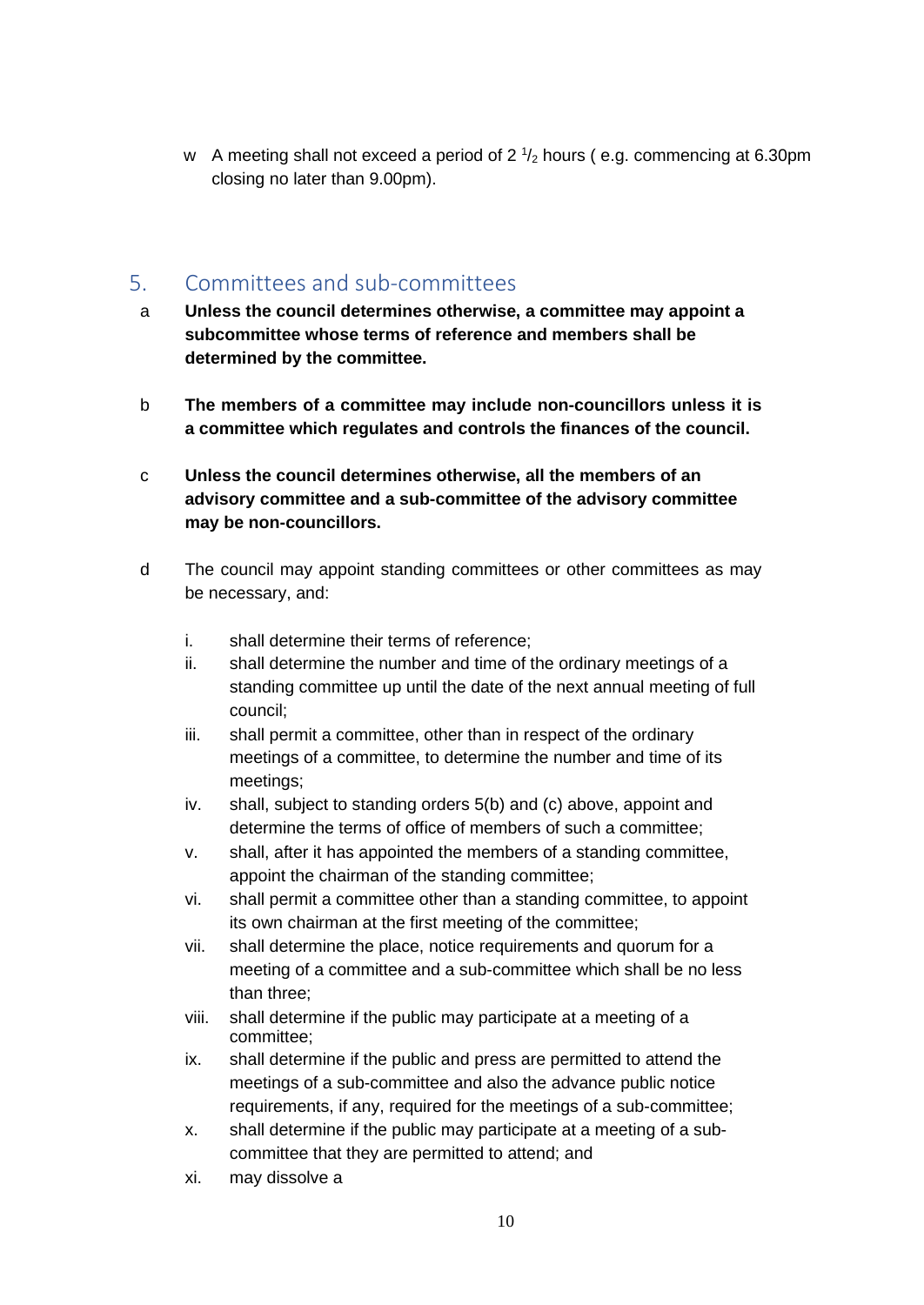w A meeting shall not exceed a period of  $2\frac{1}{2}$  hours (e.g. commencing at 6.30pm closing no later than 9.00pm).

#### <span id="page-9-0"></span>5. Committees and sub-committees

- a **Unless the council determines otherwise, a committee may appoint a subcommittee whose terms of reference and members shall be determined by the committee.**
- b **The members of a committee may include non-councillors unless it is a committee which regulates and controls the finances of the council.**
- c **Unless the council determines otherwise, all the members of an advisory committee and a sub-committee of the advisory committee may be non-councillors.**
- d The council may appoint standing committees or other committees as may be necessary, and:
	- i. shall determine their terms of reference;
	- ii. shall determine the number and time of the ordinary meetings of a standing committee up until the date of the next annual meeting of full council;
	- iii. shall permit a committee, other than in respect of the ordinary meetings of a committee, to determine the number and time of its meetings;
	- iv. shall, subject to standing orders 5(b) and (c) above, appoint and determine the terms of office of members of such a committee;
	- v. shall, after it has appointed the members of a standing committee, appoint the chairman of the standing committee;
	- vi. shall permit a committee other than a standing committee, to appoint its own chairman at the first meeting of the committee;
	- vii. shall determine the place, notice requirements and quorum for a meeting of a committee and a sub-committee which shall be no less than three;
	- viii. shall determine if the public may participate at a meeting of a committee;
	- ix. shall determine if the public and press are permitted to attend the meetings of a sub-committee and also the advance public notice requirements, if any, required for the meetings of a sub-committee;
	- x. shall determine if the public may participate at a meeting of a subcommittee that they are permitted to attend; and
	- xi. may dissolve a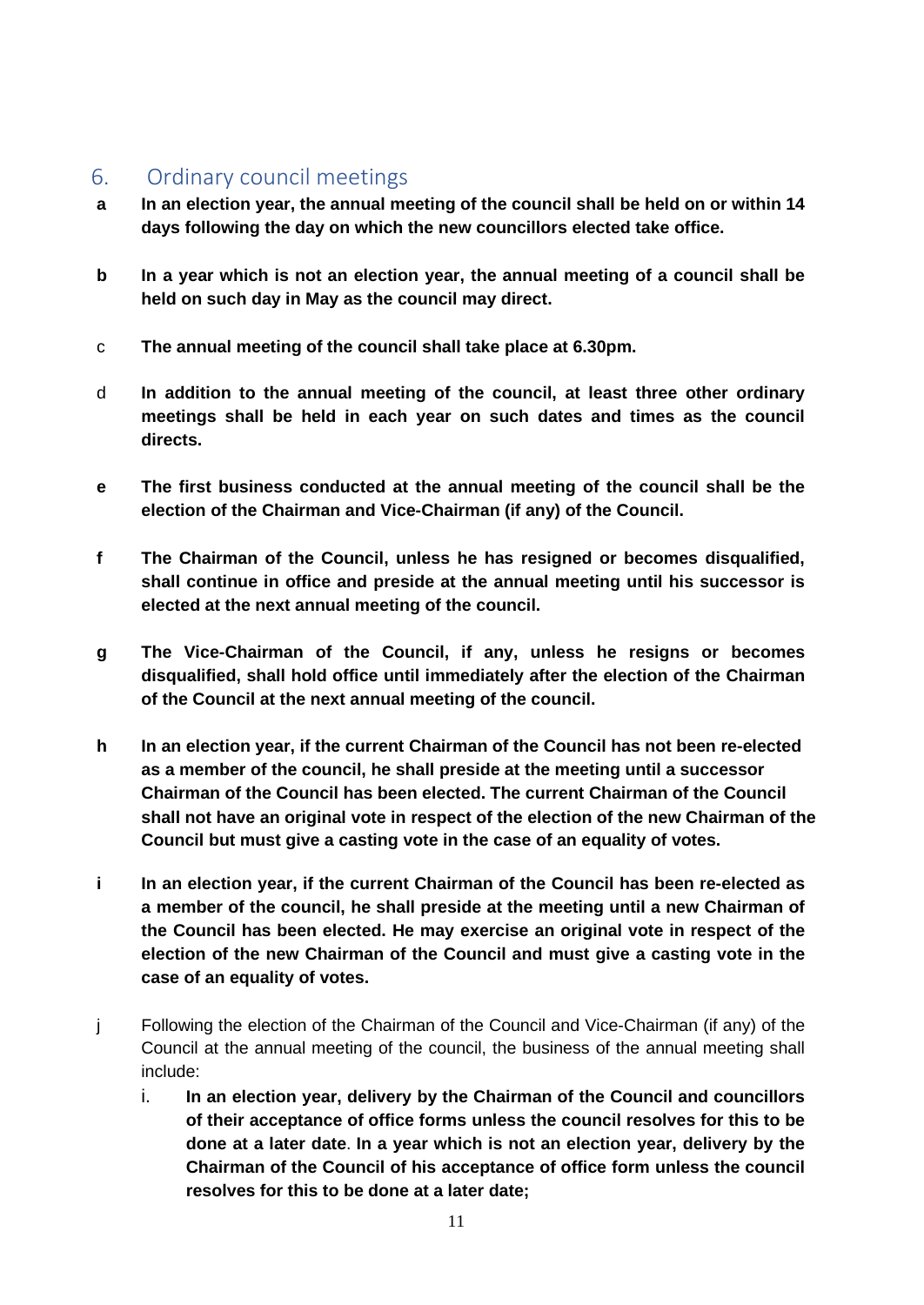## <span id="page-10-0"></span>6. Ordinary council meetings

- **a In an election year, the annual meeting of the council shall be held on or within 14 days following the day on which the new councillors elected take office.**
- **b In a year which is not an election year, the annual meeting of a council shall be held on such day in May as the council may direct.**
- c **The annual meeting of the council shall take place at 6.30pm.**
- d **In addition to the annual meeting of the council, at least three other ordinary meetings shall be held in each year on such dates and times as the council directs.**
- **e The first business conducted at the annual meeting of the council shall be the election of the Chairman and Vice-Chairman (if any) of the Council.**
- **f The Chairman of the Council, unless he has resigned or becomes disqualified, shall continue in office and preside at the annual meeting until his successor is elected at the next annual meeting of the council.**
- **g The Vice-Chairman of the Council, if any, unless he resigns or becomes disqualified, shall hold office until immediately after the election of the Chairman of the Council at the next annual meeting of the council.**
- **h In an election year, if the current Chairman of the Council has not been re-elected as a member of the council, he shall preside at the meeting until a successor Chairman of the Council has been elected. The current Chairman of the Council shall not have an original vote in respect of the election of the new Chairman of the Council but must give a casting vote in the case of an equality of votes.**
- **i In an election year, if the current Chairman of the Council has been re-elected as a member of the council, he shall preside at the meeting until a new Chairman of the Council has been elected. He may exercise an original vote in respect of the election of the new Chairman of the Council and must give a casting vote in the case of an equality of votes.**
- j Following the election of the Chairman of the Council and Vice-Chairman (if any) of the Council at the annual meeting of the council, the business of the annual meeting shall include:
	- i. **In an election year, delivery by the Chairman of the Council and councillors of their acceptance of office forms unless the council resolves for this to be done at a later date**. **In a year which is not an election year, delivery by the Chairman of the Council of his acceptance of office form unless the council resolves for this to be done at a later date;**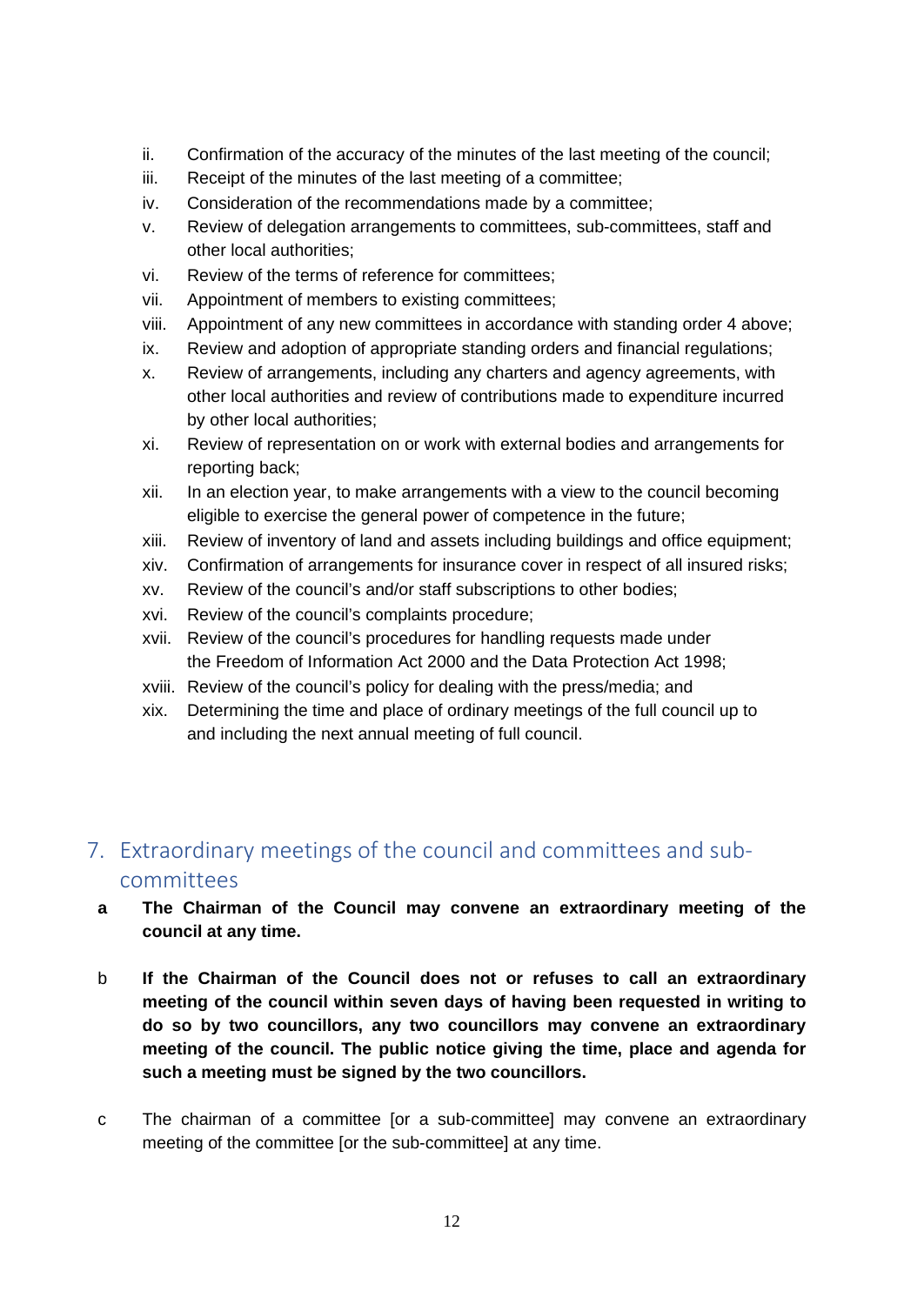- ii. Confirmation of the accuracy of the minutes of the last meeting of the council;
- iii. Receipt of the minutes of the last meeting of a committee;
- iv. Consideration of the recommendations made by a committee;
- v. Review of delegation arrangements to committees, sub-committees, staff and other local authorities;
- vi. Review of the terms of reference for committees;
- vii. Appointment of members to existing committees;
- viii. Appointment of any new committees in accordance with standing order 4 above;
- ix. Review and adoption of appropriate standing orders and financial regulations;
- x. Review of arrangements, including any charters and agency agreements, with other local authorities and review of contributions made to expenditure incurred by other local authorities;
- xi. Review of representation on or work with external bodies and arrangements for reporting back;
- xii. In an election year, to make arrangements with a view to the council becoming eligible to exercise the general power of competence in the future;
- xiii. Review of inventory of land and assets including buildings and office equipment;
- xiv. Confirmation of arrangements for insurance cover in respect of all insured risks;
- xv. Review of the council's and/or staff subscriptions to other bodies;
- xvi. Review of the council's complaints procedure;
- xvii. Review of the council's procedures for handling requests made under the Freedom of Information Act 2000 and the Data Protection Act 1998;
- xviii. Review of the council's policy for dealing with the press/media; and
- xix. Determining the time and place of ordinary meetings of the full council up to and including the next annual meeting of full council.

# <span id="page-11-0"></span>7. Extraordinary meetings of the council and committees and subcommittees

- **a The Chairman of the Council may convene an extraordinary meeting of the council at any time.**
- b **If the Chairman of the Council does not or refuses to call an extraordinary meeting of the council within seven days of having been requested in writing to do so by two councillors, any two councillors may convene an extraordinary meeting of the council. The public notice giving the time, place and agenda for such a meeting must be signed by the two councillors.**
- c The chairman of a committee [or a sub-committee] may convene an extraordinary meeting of the committee [or the sub-committee] at any time.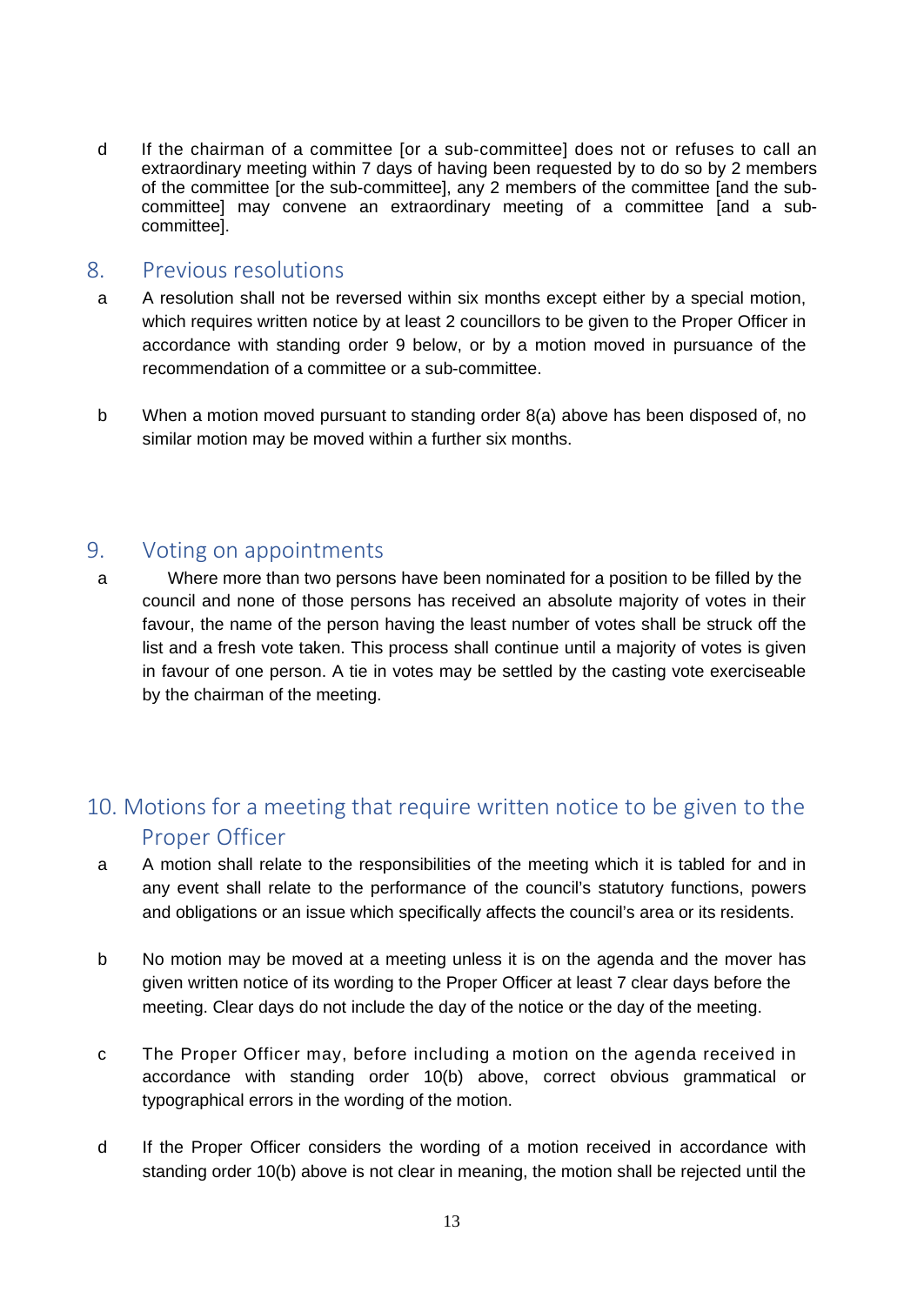d If the chairman of a committee [or a sub-committee] does not or refuses to call an extraordinary meeting within 7 days of having been requested by to do so by 2 members of the committee [or the sub-committee], any 2 members of the committee [and the subcommittee] may convene an extraordinary meeting of a committee [and a subcommittee].

#### <span id="page-12-0"></span>8. Previous resolutions

- a A resolution shall not be reversed within six months except either by a special motion, which requires written notice by at least 2 councillors to be given to the Proper Officer in accordance with standing order 9 below, or by a motion moved in pursuance of the recommendation of a committee or a sub-committee.
- b When a motion moved pursuant to standing order 8(a) above has been disposed of, no similar motion may be moved within a further six months.

#### <span id="page-12-1"></span>9. Voting on appointments

a Where more than two persons have been nominated for a position to be filled by the council and none of those persons has received an absolute majority of votes in their favour, the name of the person having the least number of votes shall be struck off the list and a fresh vote taken. This process shall continue until a majority of votes is given in favour of one person. A tie in votes may be settled by the casting vote exerciseable by the chairman of the meeting.

# <span id="page-12-2"></span>10. Motions for a meeting that require written notice to be given to the Proper Officer

- a A motion shall relate to the responsibilities of the meeting which it is tabled for and in any event shall relate to the performance of the council's statutory functions, powers and obligations or an issue which specifically affects the council's area or its residents.
- b No motion may be moved at a meeting unless it is on the agenda and the mover has given written notice of its wording to the Proper Officer at least 7 clear days before the meeting. Clear days do not include the day of the notice or the day of the meeting.
- c The Proper Officer may, before including a motion on the agenda received in accordance with standing order 10(b) above, correct obvious grammatical or typographical errors in the wording of the motion.
- d If the Proper Officer considers the wording of a motion received in accordance with standing order 10(b) above is not clear in meaning, the motion shall be rejected until the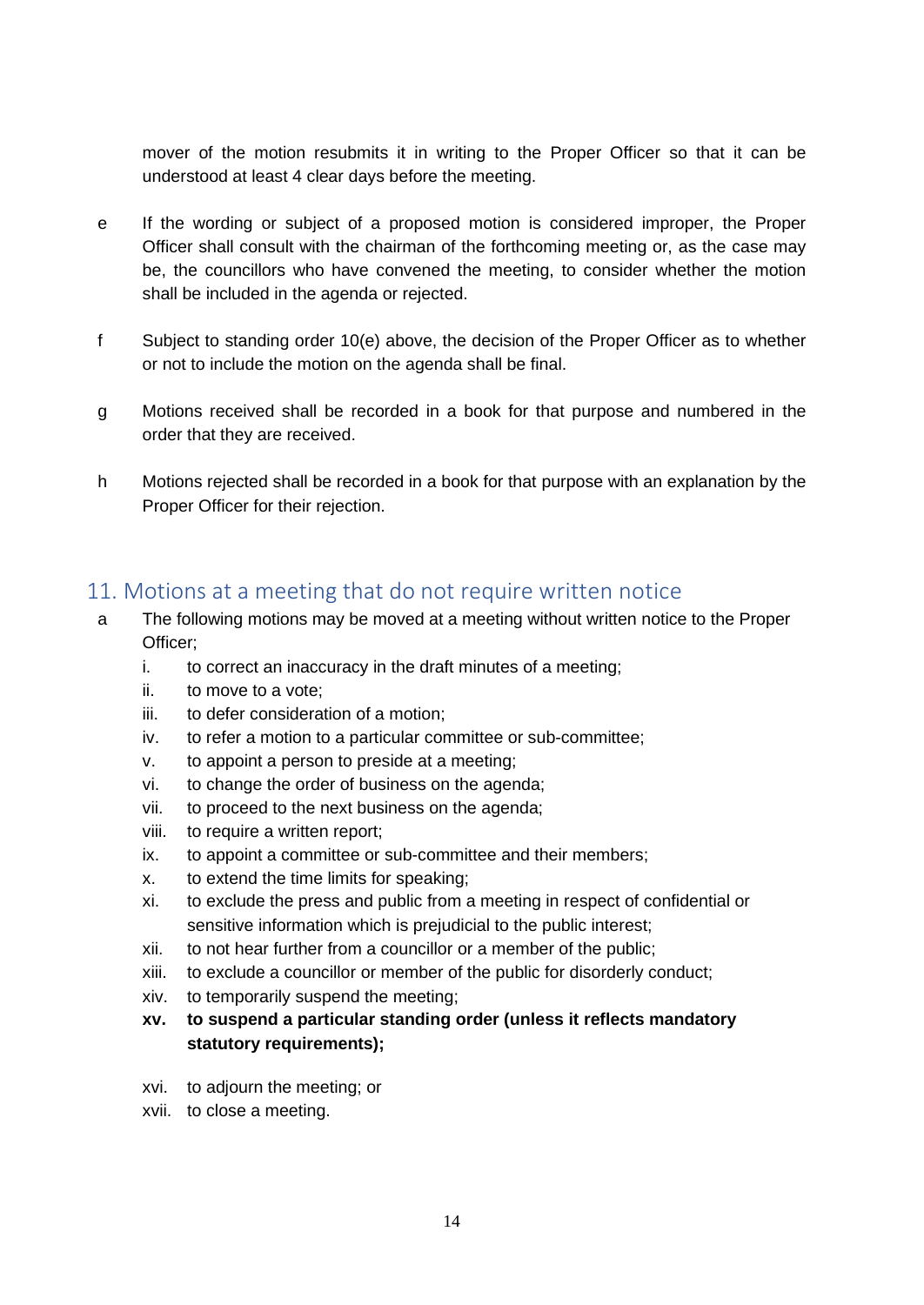mover of the motion resubmits it in writing to the Proper Officer so that it can be understood at least 4 clear days before the meeting.

- e If the wording or subject of a proposed motion is considered improper, the Proper Officer shall consult with the chairman of the forthcoming meeting or, as the case may be, the councillors who have convened the meeting, to consider whether the motion shall be included in the agenda or rejected.
- f Subject to standing order 10(e) above, the decision of the Proper Officer as to whether or not to include the motion on the agenda shall be final.
- g Motions received shall be recorded in a book for that purpose and numbered in the order that they are received.
- h Motions rejected shall be recorded in a book for that purpose with an explanation by the Proper Officer for their rejection.

#### <span id="page-13-0"></span>11. Motions at a meeting that do not require written notice

- a The following motions may be moved at a meeting without written notice to the Proper Officer;
	- i. to correct an inaccuracy in the draft minutes of a meeting;
	- ii. to move to a vote;
	- iii. to defer consideration of a motion;
	- iv. to refer a motion to a particular committee or sub-committee;
	- v. to appoint a person to preside at a meeting;
	- vi. to change the order of business on the agenda;
	- vii. to proceed to the next business on the agenda;
	- viii. to require a written report;
	- ix. to appoint a committee or sub-committee and their members;
	- x. to extend the time limits for speaking;
	- xi. to exclude the press and public from a meeting in respect of confidential or sensitive information which is prejudicial to the public interest;
	- xii. to not hear further from a councillor or a member of the public;
	- xiii. to exclude a councillor or member of the public for disorderly conduct;
	- xiv. to temporarily suspend the meeting;
	- **xv. to suspend a particular standing order (unless it reflects mandatory statutory requirements);**
	- xvi. to adjourn the meeting; or
	- xvii. to close a meeting.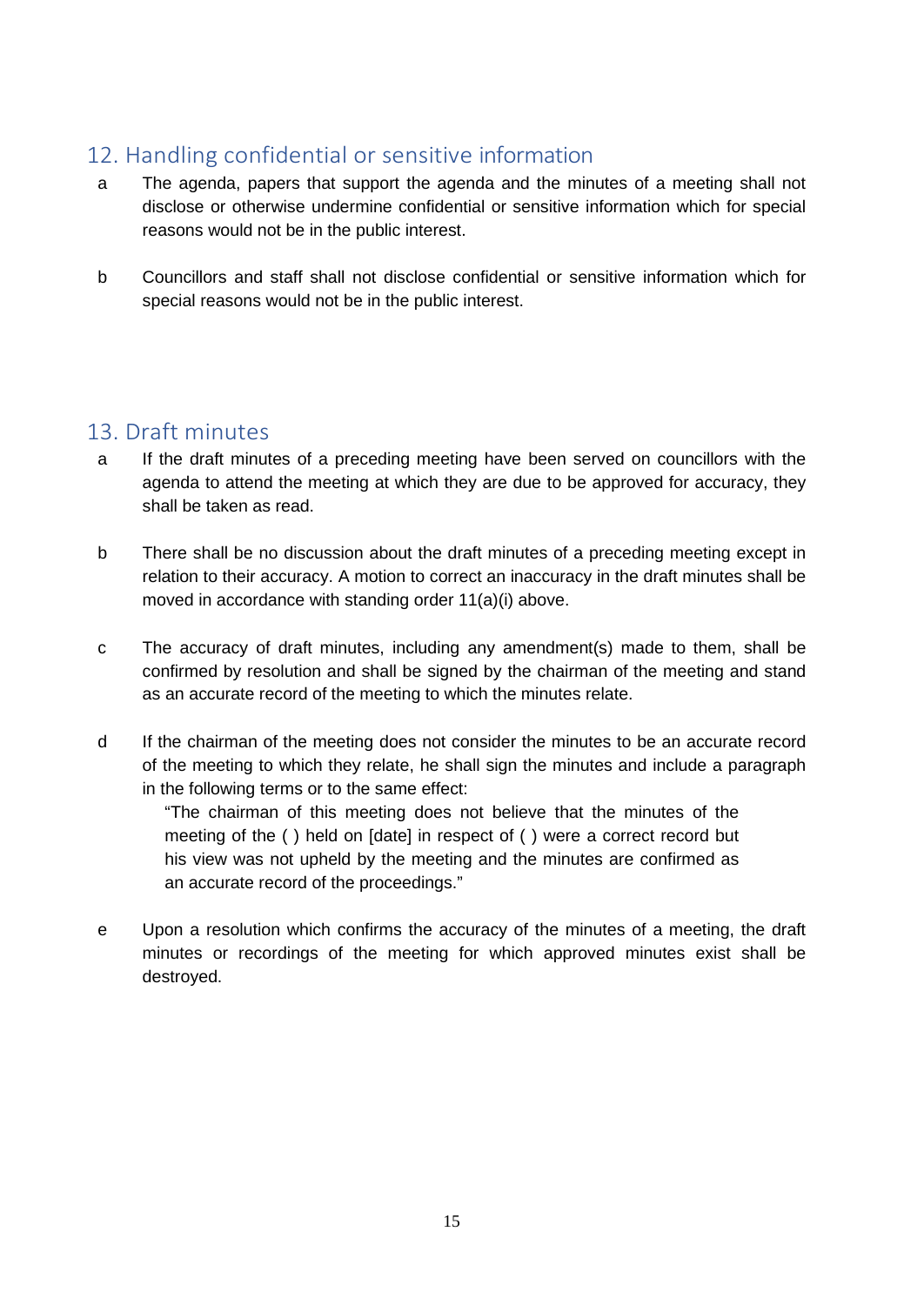## <span id="page-14-0"></span>12. Handling confidential or sensitive information

- a The agenda, papers that support the agenda and the minutes of a meeting shall not disclose or otherwise undermine confidential or sensitive information which for special reasons would not be in the public interest.
- b Councillors and staff shall not disclose confidential or sensitive information which for special reasons would not be in the public interest.

## <span id="page-14-1"></span>13. Draft minutes

- a If the draft minutes of a preceding meeting have been served on councillors with the agenda to attend the meeting at which they are due to be approved for accuracy, they shall be taken as read.
- b There shall be no discussion about the draft minutes of a preceding meeting except in relation to their accuracy. A motion to correct an inaccuracy in the draft minutes shall be moved in accordance with standing order 11(a)(i) above.
- c The accuracy of draft minutes, including any amendment(s) made to them, shall be confirmed by resolution and shall be signed by the chairman of the meeting and stand as an accurate record of the meeting to which the minutes relate.
- d If the chairman of the meeting does not consider the minutes to be an accurate record of the meeting to which they relate, he shall sign the minutes and include a paragraph in the following terms or to the same effect:

"The chairman of this meeting does not believe that the minutes of the meeting of the ( ) held on [date] in respect of ( ) were a correct record but his view was not upheld by the meeting and the minutes are confirmed as an accurate record of the proceedings."

e Upon a resolution which confirms the accuracy of the minutes of a meeting, the draft minutes or recordings of the meeting for which approved minutes exist shall be destroyed.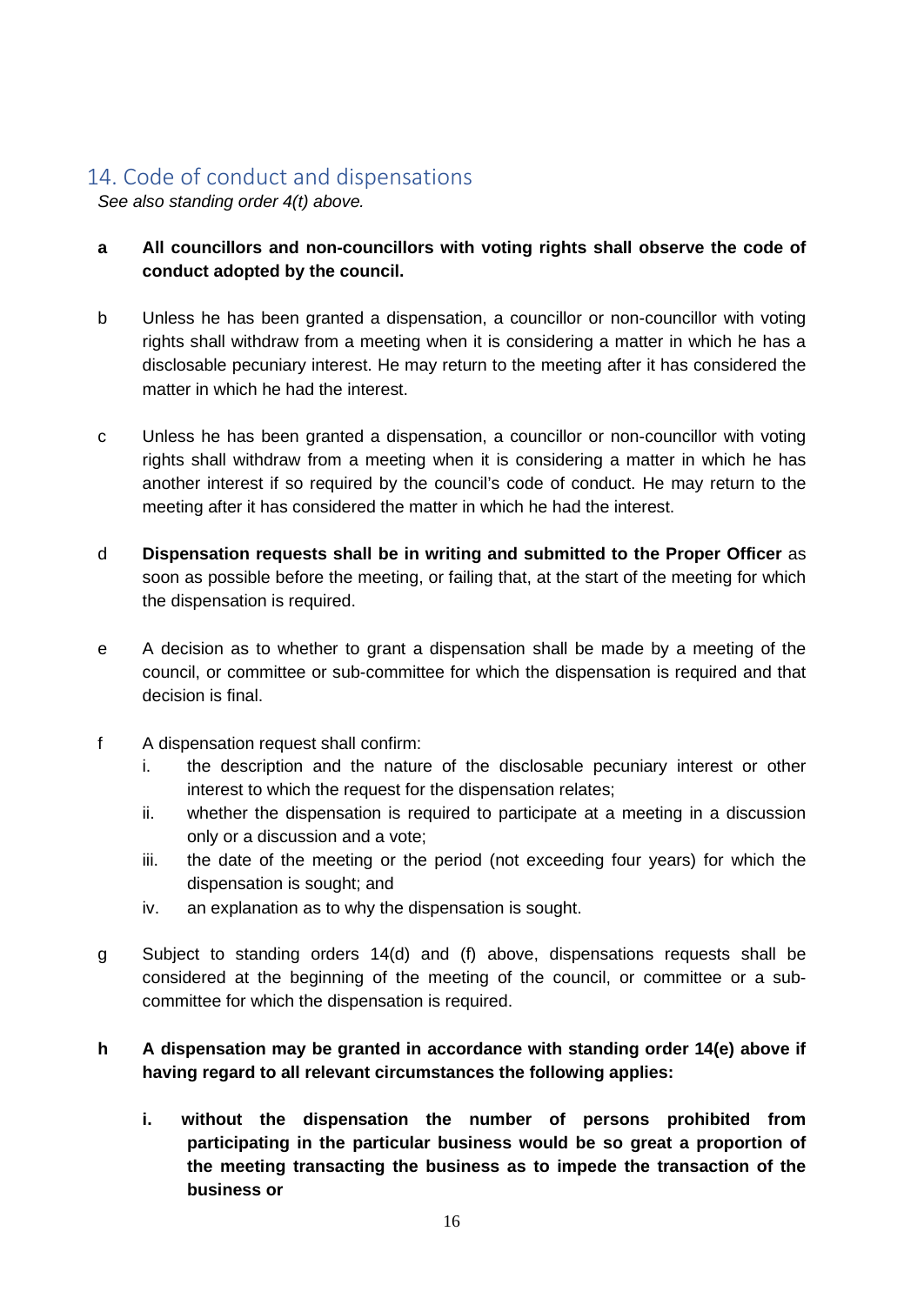## <span id="page-15-0"></span>14. Code of conduct and dispensations

*See also standing order 4(t) above.* 

- **a All councillors and non-councillors with voting rights shall observe the code of conduct adopted by the council.**
- b Unless he has been granted a dispensation, a councillor or non-councillor with voting rights shall withdraw from a meeting when it is considering a matter in which he has a disclosable pecuniary interest. He may return to the meeting after it has considered the matter in which he had the interest.
- c Unless he has been granted a dispensation, a councillor or non-councillor with voting rights shall withdraw from a meeting when it is considering a matter in which he has another interest if so required by the council's code of conduct. He may return to the meeting after it has considered the matter in which he had the interest.
- d **Dispensation requests shall be in writing and submitted to the Proper Officer** as soon as possible before the meeting, or failing that, at the start of the meeting for which the dispensation is required.
- e A decision as to whether to grant a dispensation shall be made by a meeting of the council, or committee or sub-committee for which the dispensation is required and that decision is final.
- f A dispensation request shall confirm:
	- i. the description and the nature of the disclosable pecuniary interest or other interest to which the request for the dispensation relates;
	- ii. whether the dispensation is required to participate at a meeting in a discussion only or a discussion and a vote;
	- iii. the date of the meeting or the period (not exceeding four years) for which the dispensation is sought; and
	- iv. an explanation as to why the dispensation is sought.
- g Subject to standing orders 14(d) and (f) above, dispensations requests shall be considered at the beginning of the meeting of the council, or committee or a subcommittee for which the dispensation is required.

#### **h A dispensation may be granted in accordance with standing order 14(e) above if having regard to all relevant circumstances the following applies:**

**i. without the dispensation the number of persons prohibited from participating in the particular business would be so great a proportion of the meeting transacting the business as to impede the transaction of the business or**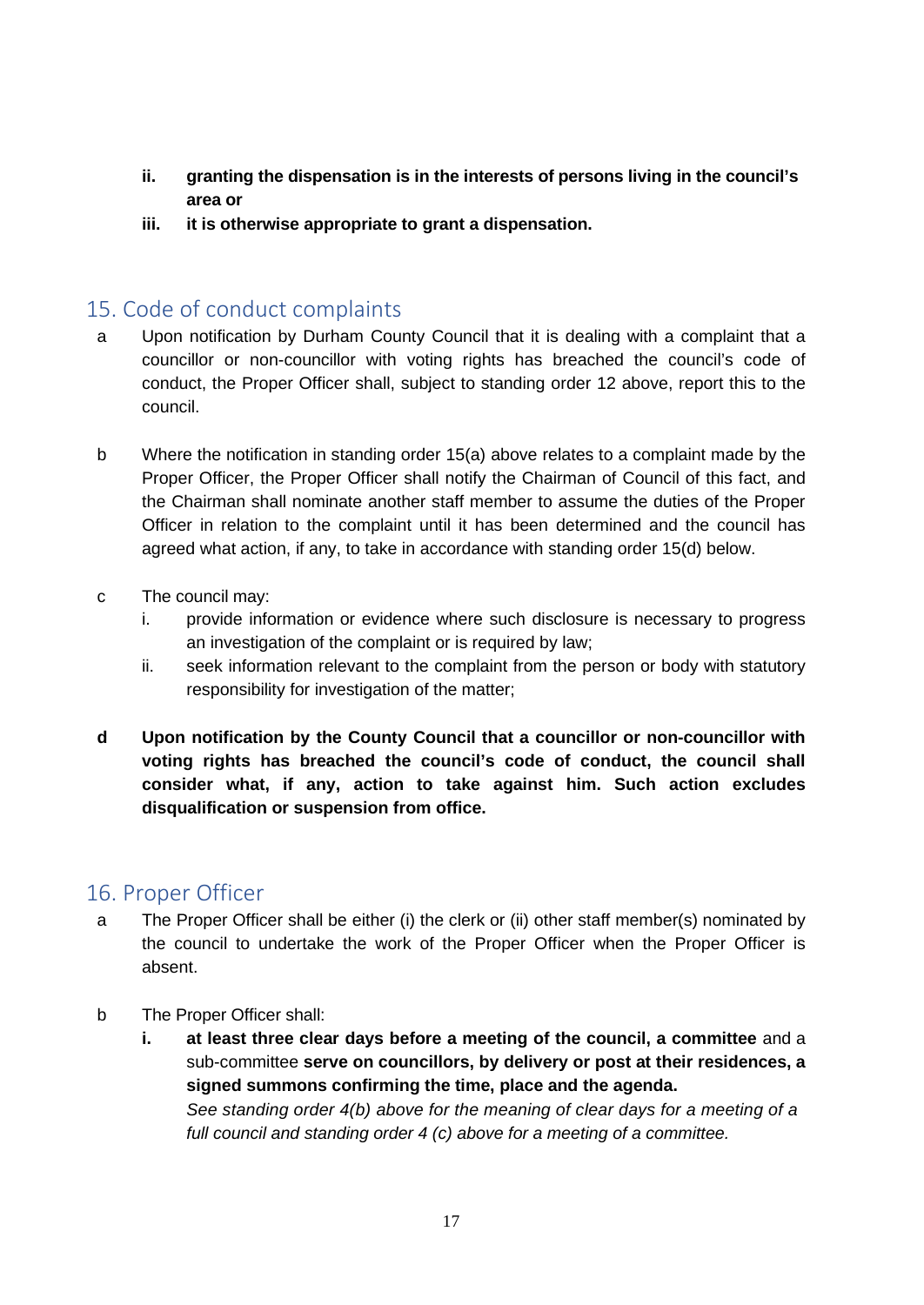- **ii. granting the dispensation is in the interests of persons living in the council's area or**
- **iii. it is otherwise appropriate to grant a dispensation.**

## <span id="page-16-0"></span>15. Code of conduct complaints

- a Upon notification by Durham County Council that it is dealing with a complaint that a councillor or non-councillor with voting rights has breached the council's code of conduct, the Proper Officer shall, subject to standing order 12 above, report this to the council.
- b Where the notification in standing order 15(a) above relates to a complaint made by the Proper Officer, the Proper Officer shall notify the Chairman of Council of this fact, and the Chairman shall nominate another staff member to assume the duties of the Proper Officer in relation to the complaint until it has been determined and the council has agreed what action, if any, to take in accordance with standing order 15(d) below.
- c The council may:
	- i. provide information or evidence where such disclosure is necessary to progress an investigation of the complaint or is required by law;
	- ii. seek information relevant to the complaint from the person or body with statutory responsibility for investigation of the matter;
- **d Upon notification by the County Council that a councillor or non-councillor with voting rights has breached the council's code of conduct, the council shall consider what, if any, action to take against him. Such action excludes disqualification or suspension from office.**

#### <span id="page-16-1"></span>16. Proper Officer

- a The Proper Officer shall be either (i) the clerk or (ii) other staff member(s) nominated by the council to undertake the work of the Proper Officer when the Proper Officer is absent.
- b The Proper Officer shall:
	- **i. at least three clear days before a meeting of the council, a committee** and a sub-committee **serve on councillors, by delivery or post at their residences, a signed summons confirming the time, place and the agenda.**  *See standing order 4(b) above for the meaning of clear days for a meeting of a full council and standing order 4 (c) above for a meeting of a committee.*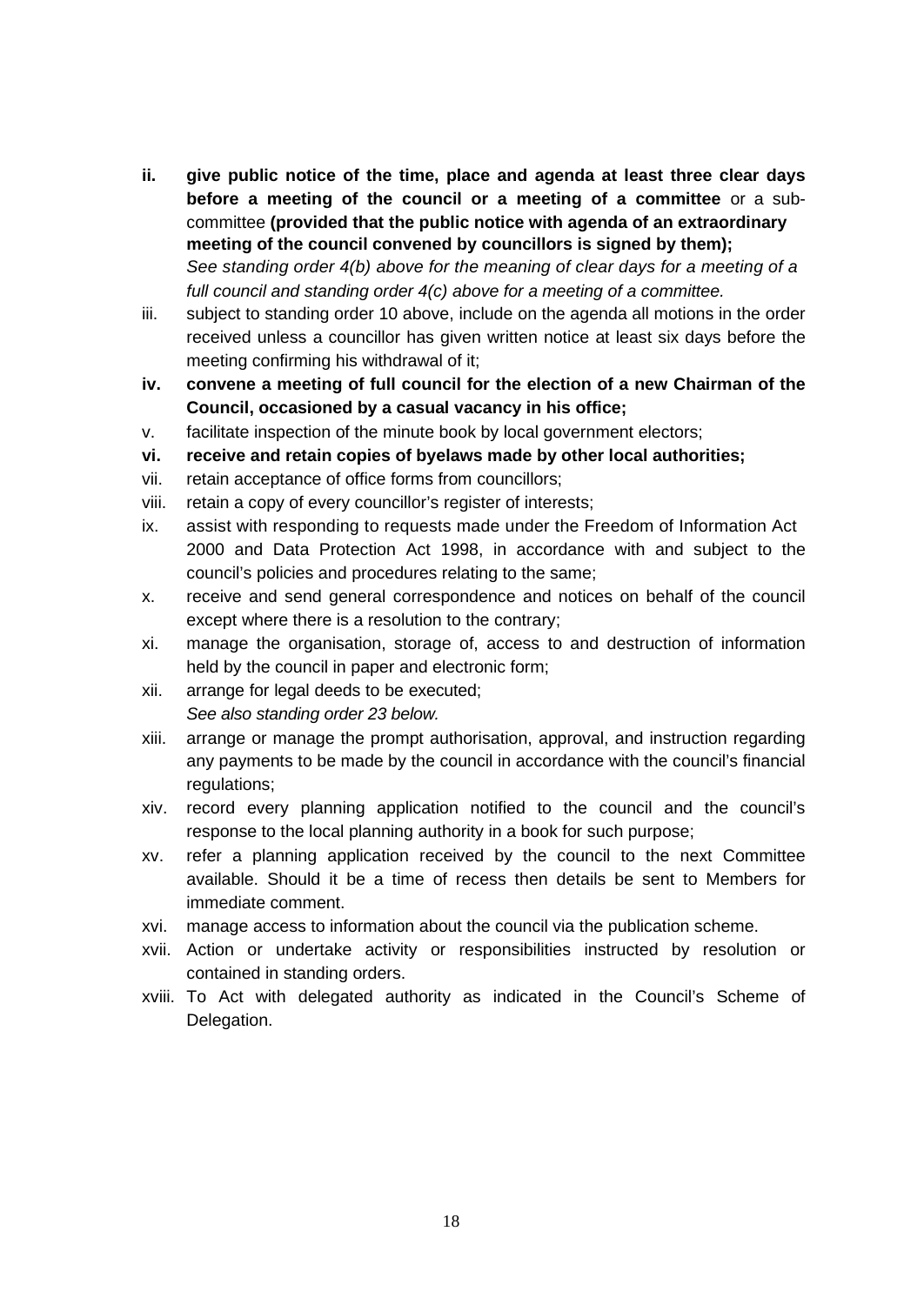- **ii. give public notice of the time, place and agenda at least three clear days before a meeting of the council or a meeting of a committee** or a subcommittee **(provided that the public notice with agenda of an extraordinary meeting of the council convened by councillors is signed by them);**  *See standing order 4(b) above for the meaning of clear days for a meeting of a full council and standing order 4(c) above for a meeting of a committee.*
- iii. subject to standing order 10 above, include on the agenda all motions in the order received unless a councillor has given written notice at least six days before the meeting confirming his withdrawal of it;
- **iv. convene a meeting of full council for the election of a new Chairman of the Council, occasioned by a casual vacancy in his office;**
- v. facilitate inspection of the minute book by local government electors;
- **vi. receive and retain copies of byelaws made by other local authorities;**
- vii. retain acceptance of office forms from councillors;
- viii. retain a copy of every councillor's register of interests;
- ix. assist with responding to requests made under the Freedom of Information Act 2000 and Data Protection Act 1998, in accordance with and subject to the council's policies and procedures relating to the same;
- x. receive and send general correspondence and notices on behalf of the council except where there is a resolution to the contrary;
- xi. manage the organisation, storage of, access to and destruction of information held by the council in paper and electronic form;
- xii. arrange for legal deeds to be executed; *See also standing order 23 below.*
- xiii. arrange or manage the prompt authorisation, approval, and instruction regarding any payments to be made by the council in accordance with the council's financial regulations;
- xiv. record every planning application notified to the council and the council's response to the local planning authority in a book for such purpose;
- xv. refer a planning application received by the council to the next Committee available. Should it be a time of recess then details be sent to Members for immediate comment.
- xvi. manage access to information about the council via the publication scheme.
- xvii. Action or undertake activity or responsibilities instructed by resolution or contained in standing orders.
- xviii. To Act with delegated authority as indicated in the Council's Scheme of Delegation.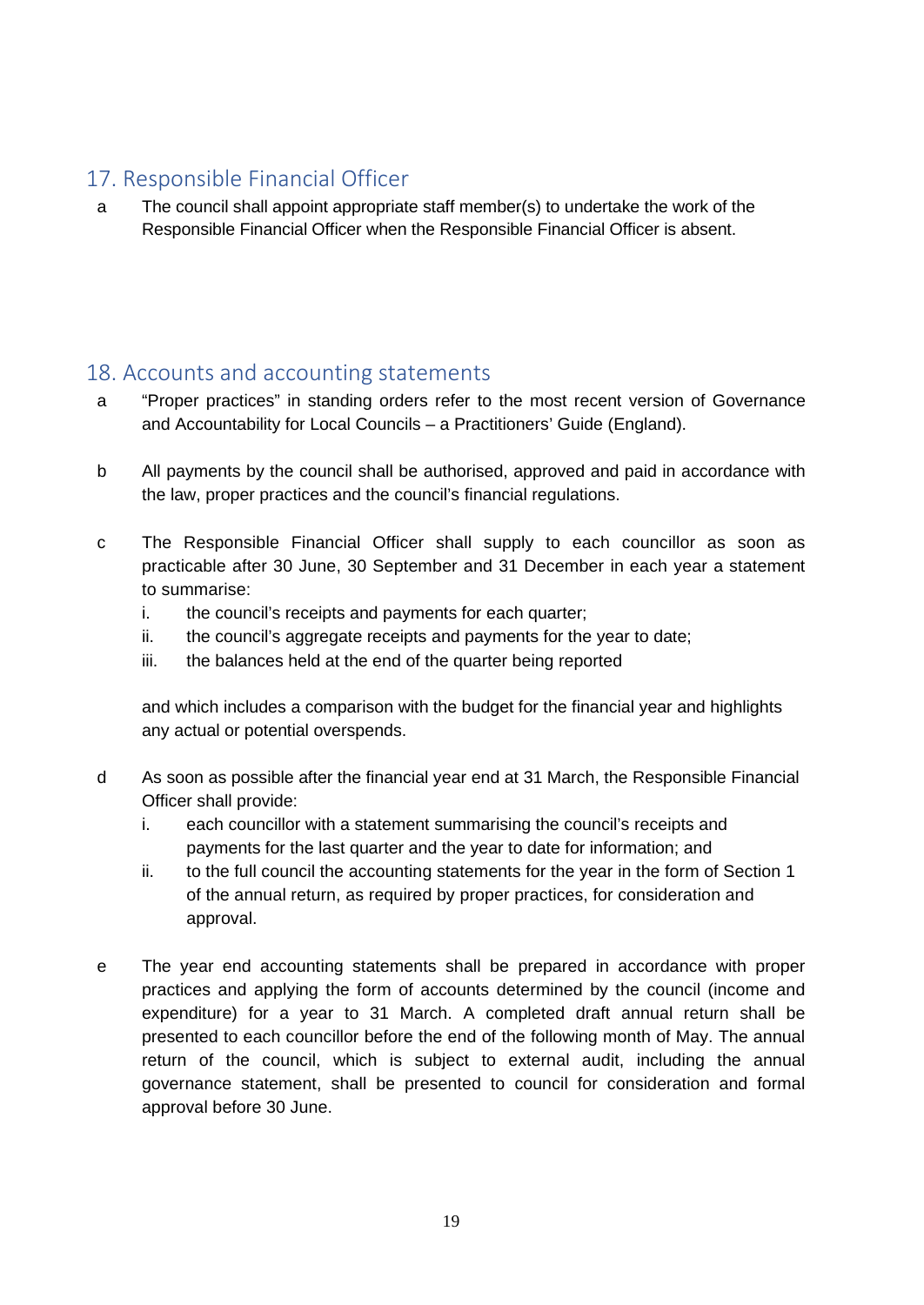# <span id="page-18-0"></span>17. Responsible Financial Officer

a The council shall appoint appropriate staff member(s) to undertake the work of the Responsible Financial Officer when the Responsible Financial Officer is absent.

#### <span id="page-18-1"></span>18. Accounts and accounting statements

- a "Proper practices" in standing orders refer to the most recent version of Governance and Accountability for Local Councils – a Practitioners' Guide (England).
- b All payments by the council shall be authorised, approved and paid in accordance with the law, proper practices and the council's financial regulations.
- c The Responsible Financial Officer shall supply to each councillor as soon as practicable after 30 June, 30 September and 31 December in each year a statement to summarise:
	- i. the council's receipts and payments for each quarter;
	- ii. the council's aggregate receipts and payments for the year to date;
	- iii. the balances held at the end of the quarter being reported

and which includes a comparison with the budget for the financial year and highlights any actual or potential overspends.

- d As soon as possible after the financial year end at 31 March, the Responsible Financial Officer shall provide:
	- i. each councillor with a statement summarising the council's receipts and payments for the last quarter and the year to date for information; and
	- ii. to the full council the accounting statements for the year in the form of Section 1 of the annual return, as required by proper practices, for consideration and approval.
- e The year end accounting statements shall be prepared in accordance with proper practices and applying the form of accounts determined by the council (income and expenditure) for a year to 31 March. A completed draft annual return shall be presented to each councillor before the end of the following month of May. The annual return of the council, which is subject to external audit, including the annual governance statement, shall be presented to council for consideration and formal approval before 30 June.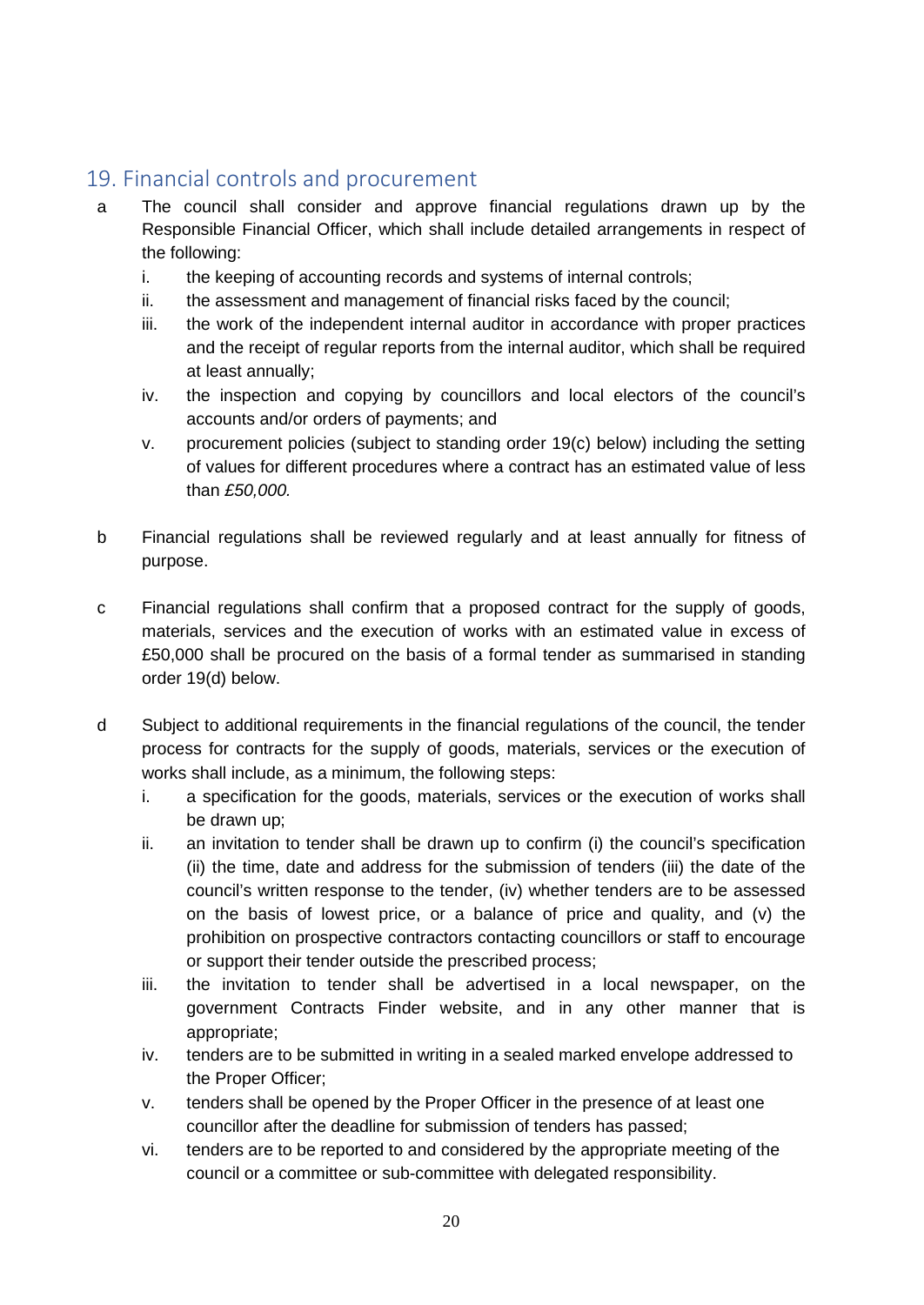# <span id="page-19-0"></span>19. Financial controls and procurement

- a The council shall consider and approve financial regulations drawn up by the Responsible Financial Officer, which shall include detailed arrangements in respect of the following:
	- i. the keeping of accounting records and systems of internal controls;
	- ii. the assessment and management of financial risks faced by the council;
	- iii. the work of the independent internal auditor in accordance with proper practices and the receipt of regular reports from the internal auditor, which shall be required at least annually;
	- iv. the inspection and copying by councillors and local electors of the council's accounts and/or orders of payments; and
	- v. procurement policies (subject to standing order 19(c) below) including the setting of values for different procedures where a contract has an estimated value of less than *£50,000.*
- b Financial regulations shall be reviewed regularly and at least annually for fitness of purpose.
- c Financial regulations shall confirm that a proposed contract for the supply of goods, materials, services and the execution of works with an estimated value in excess of £50,000 shall be procured on the basis of a formal tender as summarised in standing order 19(d) below.
- d Subject to additional requirements in the financial regulations of the council, the tender process for contracts for the supply of goods, materials, services or the execution of works shall include, as a minimum, the following steps:
	- i. a specification for the goods, materials, services or the execution of works shall be drawn up;
	- ii. an invitation to tender shall be drawn up to confirm (i) the council's specification (ii) the time, date and address for the submission of tenders (iii) the date of the council's written response to the tender, (iv) whether tenders are to be assessed on the basis of lowest price, or a balance of price and quality, and  $(v)$  the prohibition on prospective contractors contacting councillors or staff to encourage or support their tender outside the prescribed process;
	- iii. the invitation to tender shall be advertised in a local newspaper, on the government Contracts Finder website, and in any other manner that is appropriate;
	- iv. tenders are to be submitted in writing in a sealed marked envelope addressed to the Proper Officer;
	- v. tenders shall be opened by the Proper Officer in the presence of at least one councillor after the deadline for submission of tenders has passed;
	- vi. tenders are to be reported to and considered by the appropriate meeting of the council or a committee or sub-committee with delegated responsibility.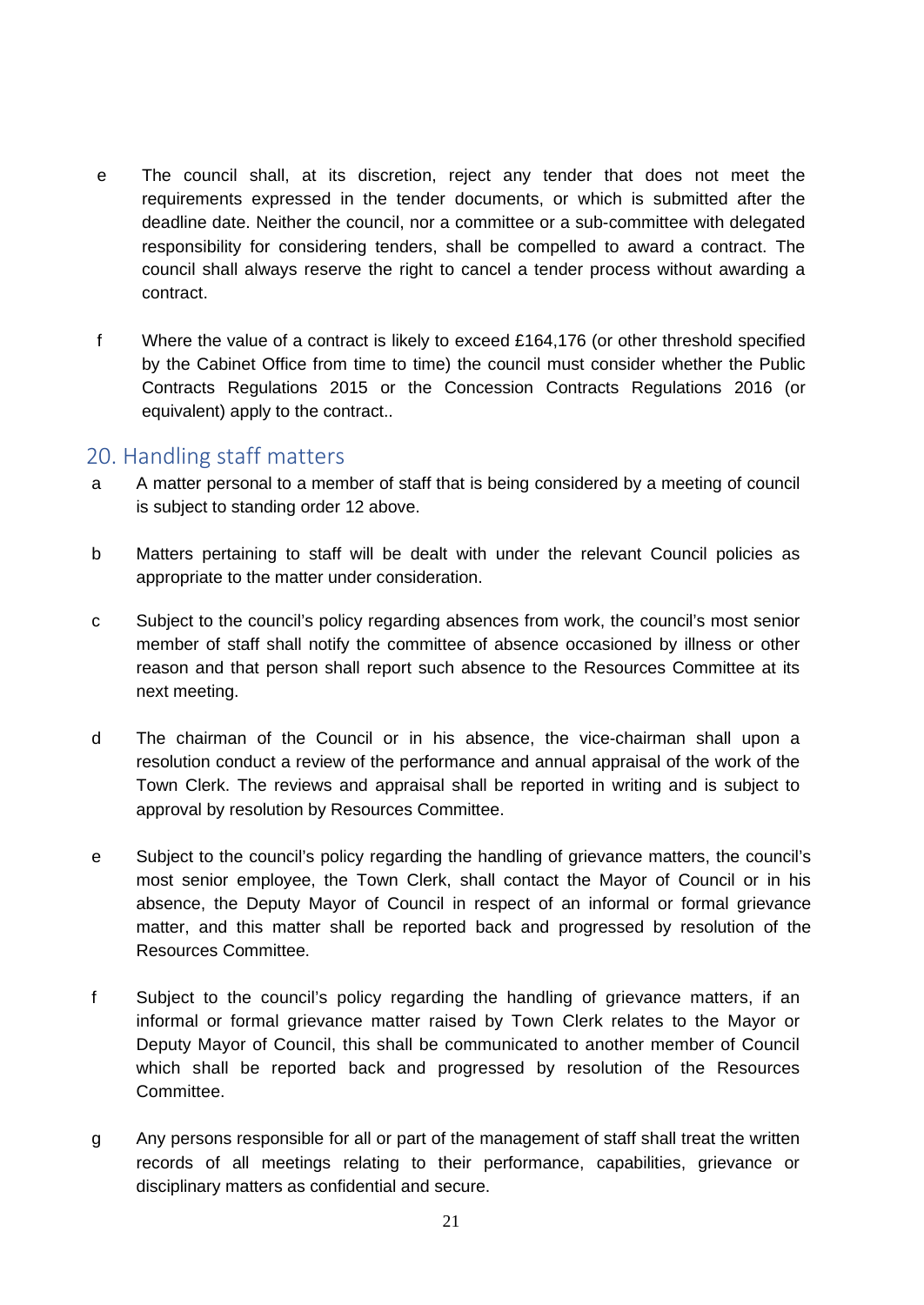- e The council shall, at its discretion, reject any tender that does not meet the requirements expressed in the tender documents, or which is submitted after the deadline date. Neither the council, nor a committee or a sub-committee with delegated responsibility for considering tenders, shall be compelled to award a contract. The council shall always reserve the right to cancel a tender process without awarding a contract.
- f Where the value of a contract is likely to exceed £164,176 (or other threshold specified by the Cabinet Office from time to time) the council must consider whether the Public Contracts Regulations 2015 or the Concession Contracts Regulations 2016 (or equivalent) apply to the contract..

#### <span id="page-20-0"></span>20. Handling staff matters

- a A matter personal to a member of staff that is being considered by a meeting of council is subject to standing order 12 above.
- b Matters pertaining to staff will be dealt with under the relevant Council policies as appropriate to the matter under consideration.
- c Subject to the council's policy regarding absences from work, the council's most senior member of staff shall notify the committee of absence occasioned by illness or other reason and that person shall report such absence to the Resources Committee at its next meeting.
- d The chairman of the Council or in his absence, the vice-chairman shall upon a resolution conduct a review of the performance and annual appraisal of the work of the Town Clerk. The reviews and appraisal shall be reported in writing and is subject to approval by resolution by Resources Committee.
- e Subject to the council's policy regarding the handling of grievance matters, the council's most senior employee, the Town Clerk, shall contact the Mayor of Council or in his absence, the Deputy Mayor of Council in respect of an informal or formal grievance matter, and this matter shall be reported back and progressed by resolution of the Resources Committee.
- f Subject to the council's policy regarding the handling of grievance matters, if an informal or formal grievance matter raised by Town Clerk relates to the Mayor or Deputy Mayor of Council, this shall be communicated to another member of Council which shall be reported back and progressed by resolution of the Resources Committee.
- g Any persons responsible for all or part of the management of staff shall treat the written records of all meetings relating to their performance, capabilities, grievance or disciplinary matters as confidential and secure.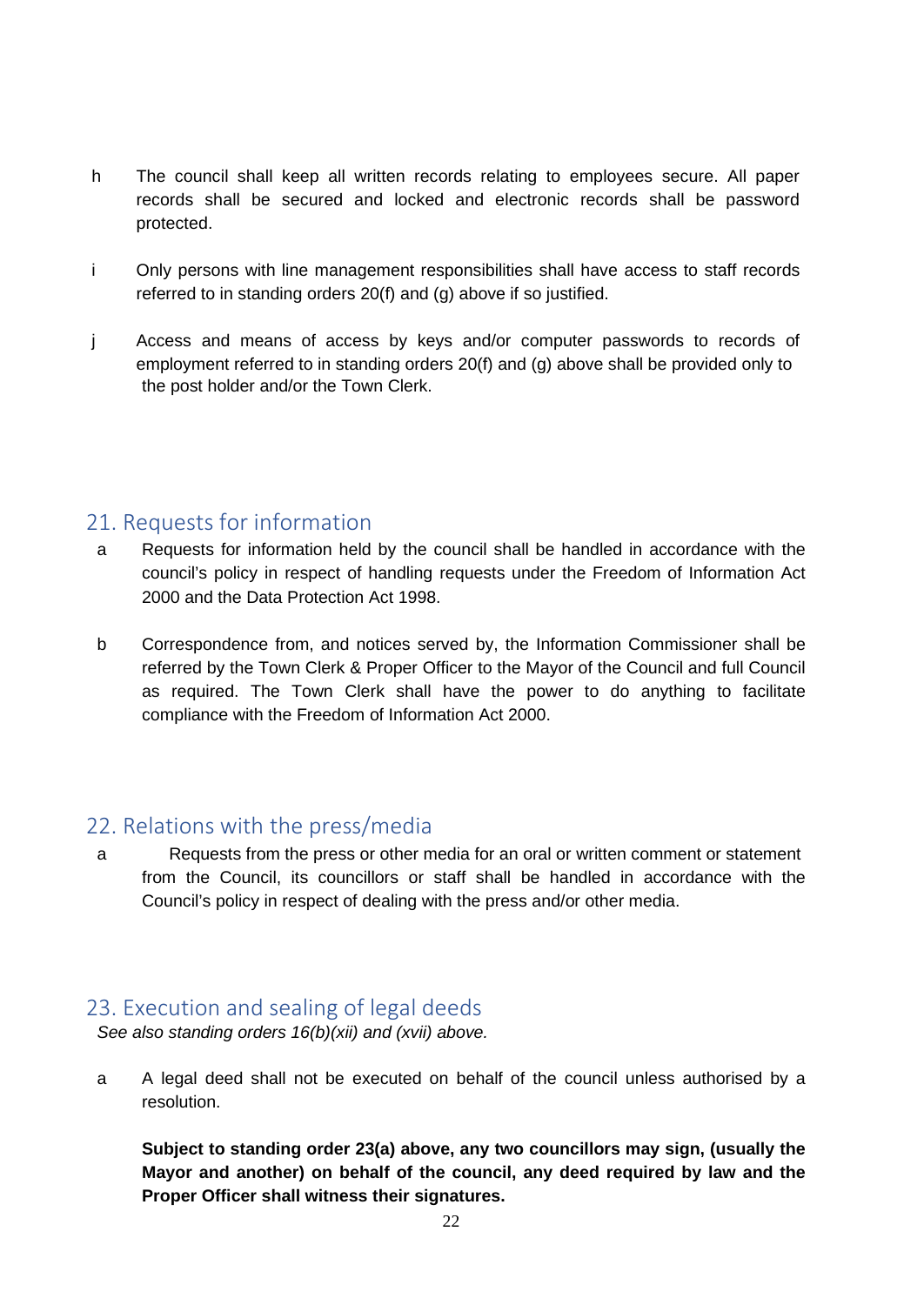- h The council shall keep all written records relating to employees secure. All paper records shall be secured and locked and electronic records shall be password protected.
- i Only persons with line management responsibilities shall have access to staff records referred to in standing orders 20(f) and (g) above if so justified.
- j Access and means of access by keys and/or computer passwords to records of employment referred to in standing orders 20(f) and (g) above shall be provided only to the post holder and/or the Town Clerk.

## <span id="page-21-0"></span>21. Requests for information

- a Requests for information held by the council shall be handled in accordance with the council's policy in respect of handling requests under the Freedom of Information Act 2000 and the Data Protection Act 1998.
- b Correspondence from, and notices served by, the Information Commissioner shall be referred by the Town Clerk & Proper Officer to the Mayor of the Council and full Council as required. The Town Clerk shall have the power to do anything to facilitate compliance with the Freedom of Information Act 2000.

## <span id="page-21-1"></span>22. Relations with the press/media

a Requests from the press or other media for an oral or written comment or statement from the Council, its councillors or staff shall be handled in accordance with the Council's policy in respect of dealing with the press and/or other media.

## <span id="page-21-2"></span>23. Execution and sealing of legal deeds

*See also standing orders 16(b)(xii) and (xvii) above.* 

a A legal deed shall not be executed on behalf of the council unless authorised by a resolution.

**Subject to standing order 23(a) above, any two councillors may sign, (usually the Mayor and another) on behalf of the council, any deed required by law and the Proper Officer shall witness their signatures.**